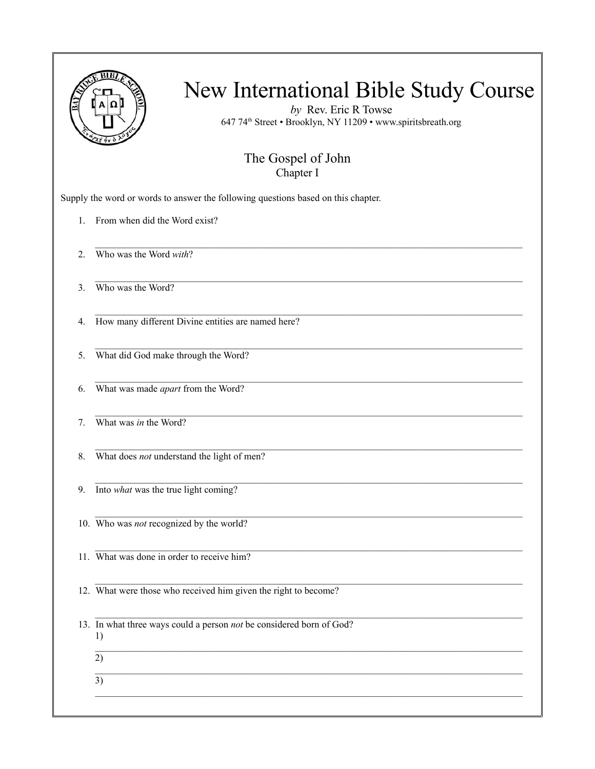

*by* Rev. Eric R Towse 647 74th Street • Brooklyn, NY 11209 • www.spiritsbreath.org

#### The Gospel of John Chapter I

 $\mathcal{L}_\text{max}$ 

 $\mathcal{L}_\mathcal{L} = \{ \mathcal{L}_\mathcal{L} = \{ \mathcal{L}_\mathcal{L} = \{ \mathcal{L}_\mathcal{L} = \{ \mathcal{L}_\mathcal{L} = \{ \mathcal{L}_\mathcal{L} = \{ \mathcal{L}_\mathcal{L} = \{ \mathcal{L}_\mathcal{L} = \{ \mathcal{L}_\mathcal{L} = \{ \mathcal{L}_\mathcal{L} = \{ \mathcal{L}_\mathcal{L} = \{ \mathcal{L}_\mathcal{L} = \{ \mathcal{L}_\mathcal{L} = \{ \mathcal{L}_\mathcal{L} = \{ \mathcal{L}_\mathcal{$ 

 $\mathcal{L}_\text{max}$ 

 $\mathcal{L}_\mathcal{L} = \{ \mathcal{L}_\mathcal{L} = \{ \mathcal{L}_\mathcal{L} = \{ \mathcal{L}_\mathcal{L} = \{ \mathcal{L}_\mathcal{L} = \{ \mathcal{L}_\mathcal{L} = \{ \mathcal{L}_\mathcal{L} = \{ \mathcal{L}_\mathcal{L} = \{ \mathcal{L}_\mathcal{L} = \{ \mathcal{L}_\mathcal{L} = \{ \mathcal{L}_\mathcal{L} = \{ \mathcal{L}_\mathcal{L} = \{ \mathcal{L}_\mathcal{L} = \{ \mathcal{L}_\mathcal{L} = \{ \mathcal{L}_\mathcal{$ 

 $\mathcal{L}_\mathcal{L} = \{ \mathcal{L}_\mathcal{L} = \{ \mathcal{L}_\mathcal{L} = \{ \mathcal{L}_\mathcal{L} = \{ \mathcal{L}_\mathcal{L} = \{ \mathcal{L}_\mathcal{L} = \{ \mathcal{L}_\mathcal{L} = \{ \mathcal{L}_\mathcal{L} = \{ \mathcal{L}_\mathcal{L} = \{ \mathcal{L}_\mathcal{L} = \{ \mathcal{L}_\mathcal{L} = \{ \mathcal{L}_\mathcal{L} = \{ \mathcal{L}_\mathcal{L} = \{ \mathcal{L}_\mathcal{L} = \{ \mathcal{L}_\mathcal{$ 

Supply the word or words to answer the following questions based on this chapter.

- 1. From when did the Word exist?
- 2. Who was the Word *with*?
- 3. Who was the Word?
- 4. How many different Divine entities are named here?
- $\mathcal{L}_\mathcal{L} = \{ \mathcal{L}_\mathcal{L} = \{ \mathcal{L}_\mathcal{L} = \{ \mathcal{L}_\mathcal{L} = \{ \mathcal{L}_\mathcal{L} = \{ \mathcal{L}_\mathcal{L} = \{ \mathcal{L}_\mathcal{L} = \{ \mathcal{L}_\mathcal{L} = \{ \mathcal{L}_\mathcal{L} = \{ \mathcal{L}_\mathcal{L} = \{ \mathcal{L}_\mathcal{L} = \{ \mathcal{L}_\mathcal{L} = \{ \mathcal{L}_\mathcal{L} = \{ \mathcal{L}_\mathcal{L} = \{ \mathcal{L}_\mathcal{$ 5. What did God make through the Word?
- 6. What was made *apart* from the Word?
- 7. What was *in* the Word?
- 8. What does *not* understand the light of men?
- 9. Into *what* was the true light coming?
- 10. Who was *not* recognized by the world?
- 11. What was done in order to receive him?
- $\mathcal{L}_\text{max}$ 12. What were those who received him given the right to become?
- 13. In what three ways could a person *not* be considered born of God? 1)
	- $\overline{2)}$  $\mathcal{L}_\mathcal{L} = \{ \mathcal{L}_\mathcal{L} = \{ \mathcal{L}_\mathcal{L} = \{ \mathcal{L}_\mathcal{L} = \{ \mathcal{L}_\mathcal{L} = \{ \mathcal{L}_\mathcal{L} = \{ \mathcal{L}_\mathcal{L} = \{ \mathcal{L}_\mathcal{L} = \{ \mathcal{L}_\mathcal{L} = \{ \mathcal{L}_\mathcal{L} = \{ \mathcal{L}_\mathcal{L} = \{ \mathcal{L}_\mathcal{L} = \{ \mathcal{L}_\mathcal{L} = \{ \mathcal{L}_\mathcal{L} = \{ \mathcal{L}_\mathcal{$
	- $\overline{3)}$  $\mathcal{L}_\text{max}$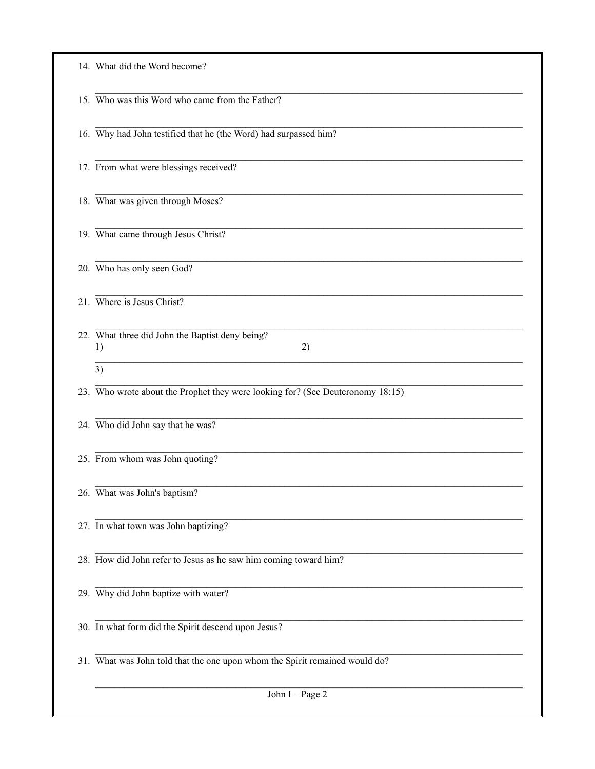| 14. What did the Word become?                                                  |
|--------------------------------------------------------------------------------|
| 15. Who was this Word who came from the Father?                                |
| 16. Why had John testified that he (the Word) had surpassed him?               |
| 17. From what were blessings received?                                         |
| 18. What was given through Moses?                                              |
| 19. What came through Jesus Christ?                                            |
| 20. Who has only seen God?                                                     |
| 21. Where is Jesus Christ?                                                     |
| 22. What three did John the Baptist deny being?<br>2)<br>1)                    |
| 3)                                                                             |
| 23. Who wrote about the Prophet they were looking for? (See Deuteronomy 18:15) |
| 24. Who did John say that he was?                                              |
| 25. From whom was John quoting?                                                |
| 26. What was John's baptism?                                                   |
| 27. In what town was John baptizing?                                           |
| 28. How did John refer to Jesus as he saw him coming toward him?               |
| 29. Why did John baptize with water?                                           |
| 30. In what form did the Spirit descend upon Jesus?                            |
| 31. What was John told that the one upon whom the Spirit remained would do?    |
| John I - Page 2                                                                |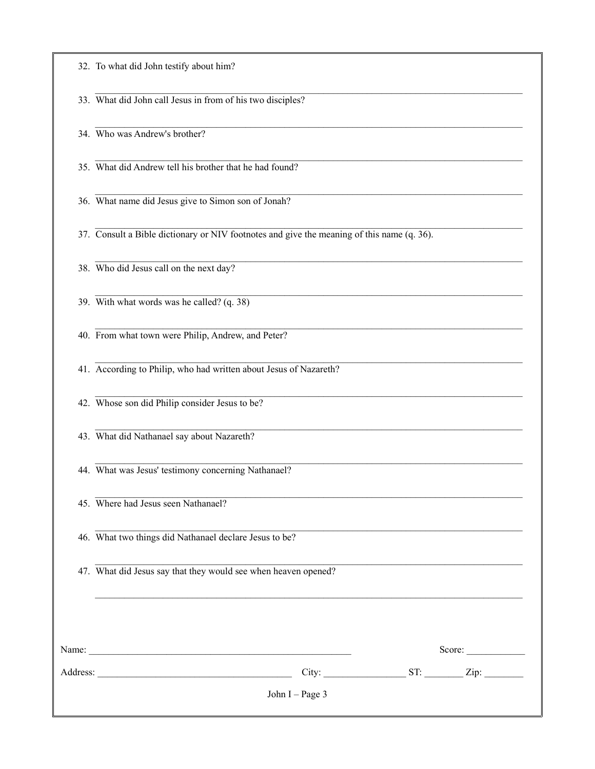32. To what did John testify about him?

33. What did John call Jesus in from of his two disciples?

34. Who was Andrew's brother?

35. What did Andrew tell his brother that he had found?

36. What name did Jesus give to Simon son of Jonah?

37. Consult a Bible dictionary or NIV footnotes and give the meaning of this name (q. 36).

38. Who did Jesus call on the next day?

39. With what words was he called?  $(q. 38)$ 

40. From what town were Philip, Andrew, and Peter?

41. According to Philip, who had written about Jesus of Nazareth?

42. Whose son did Philip consider Jesus to be?

43. What did Nathanael say about Nazareth?

44. What was Jesus' testimony concerning Nathanael?

45. Where had Jesus seen Nathanael?

46. What two things did Nathanael declare Jesus to be?

47. What did Jesus say that they would see when heaven opened?

| Name:    |                 | Score:      |
|----------|-----------------|-------------|
| Address: | City:           | ST:<br>Zip: |
|          | John I - Page 3 |             |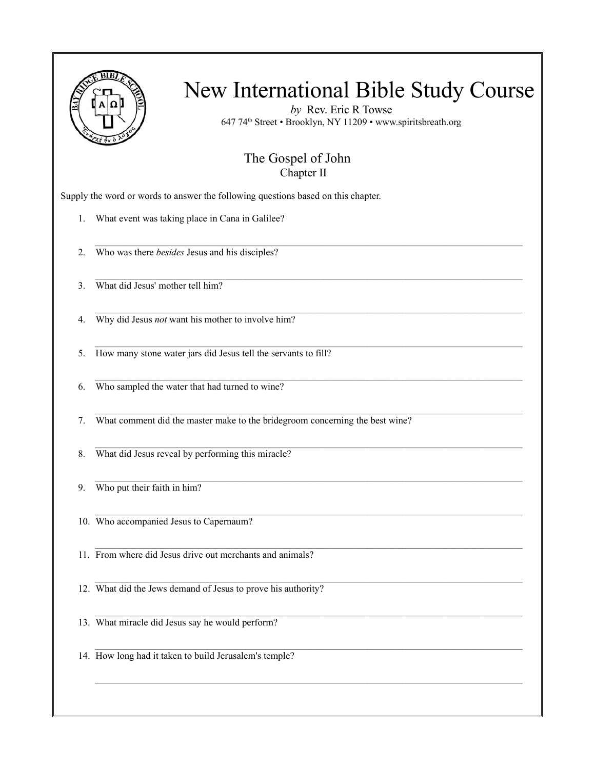

*by* Rev. Eric R Towse 647 74th Street • Brooklyn, NY 11209 • www.spiritsbreath.org

#### The Gospel of John Chapter II

 $\mathcal{L}_\text{max}$ 

 $\mathcal{L}_\mathcal{L} = \{ \mathcal{L}_\mathcal{L} = \{ \mathcal{L}_\mathcal{L} = \{ \mathcal{L}_\mathcal{L} = \{ \mathcal{L}_\mathcal{L} = \{ \mathcal{L}_\mathcal{L} = \{ \mathcal{L}_\mathcal{L} = \{ \mathcal{L}_\mathcal{L} = \{ \mathcal{L}_\mathcal{L} = \{ \mathcal{L}_\mathcal{L} = \{ \mathcal{L}_\mathcal{L} = \{ \mathcal{L}_\mathcal{L} = \{ \mathcal{L}_\mathcal{L} = \{ \mathcal{L}_\mathcal{L} = \{ \mathcal{L}_\mathcal{$ 

 $\mathcal{L}_\mathcal{L} = \{ \mathcal{L}_\mathcal{L} = \{ \mathcal{L}_\mathcal{L} = \{ \mathcal{L}_\mathcal{L} = \{ \mathcal{L}_\mathcal{L} = \{ \mathcal{L}_\mathcal{L} = \{ \mathcal{L}_\mathcal{L} = \{ \mathcal{L}_\mathcal{L} = \{ \mathcal{L}_\mathcal{L} = \{ \mathcal{L}_\mathcal{L} = \{ \mathcal{L}_\mathcal{L} = \{ \mathcal{L}_\mathcal{L} = \{ \mathcal{L}_\mathcal{L} = \{ \mathcal{L}_\mathcal{L} = \{ \mathcal{L}_\mathcal{$ 

 $\mathcal{L}_\text{max}$ 

Supply the word or words to answer the following questions based on this chapter.

- 1. What event was taking place in Cana in Galilee?
- 2. Who was there *besides* Jesus and his disciples?
- 3. What did Jesus' mother tell him?
- 4. Why did Jesus *not* want his mother to involve him?
- 5. How many stone water jars did Jesus tell the servants to fill?
- $\mathcal{L}_\mathcal{L} = \{ \mathcal{L}_\mathcal{L} = \{ \mathcal{L}_\mathcal{L} = \{ \mathcal{L}_\mathcal{L} = \{ \mathcal{L}_\mathcal{L} = \{ \mathcal{L}_\mathcal{L} = \{ \mathcal{L}_\mathcal{L} = \{ \mathcal{L}_\mathcal{L} = \{ \mathcal{L}_\mathcal{L} = \{ \mathcal{L}_\mathcal{L} = \{ \mathcal{L}_\mathcal{L} = \{ \mathcal{L}_\mathcal{L} = \{ \mathcal{L}_\mathcal{L} = \{ \mathcal{L}_\mathcal{L} = \{ \mathcal{L}_\mathcal{$ 6. Who sampled the water that had turned to wine?
- $\mathcal{L}_\text{max}$ 7. What comment did the master make to the bridegroom concerning the best wine?
- 8. What did Jesus reveal by performing this miracle?
- 9. Who put their faith in him?
- $\mathcal{L}_\mathcal{L} = \{ \mathcal{L}_\mathcal{L} = \{ \mathcal{L}_\mathcal{L} = \{ \mathcal{L}_\mathcal{L} = \{ \mathcal{L}_\mathcal{L} = \{ \mathcal{L}_\mathcal{L} = \{ \mathcal{L}_\mathcal{L} = \{ \mathcal{L}_\mathcal{L} = \{ \mathcal{L}_\mathcal{L} = \{ \mathcal{L}_\mathcal{L} = \{ \mathcal{L}_\mathcal{L} = \{ \mathcal{L}_\mathcal{L} = \{ \mathcal{L}_\mathcal{L} = \{ \mathcal{L}_\mathcal{L} = \{ \mathcal{L}_\mathcal{$ 10. Who accompanied Jesus to Capernaum?
- 11. From where did Jesus drive out merchants and animals?
- 12. What did the Jews demand of Jesus to prove his authority?
- $\mathcal{L}_\mathcal{L} = \{ \mathcal{L}_\mathcal{L} = \{ \mathcal{L}_\mathcal{L} = \{ \mathcal{L}_\mathcal{L} = \{ \mathcal{L}_\mathcal{L} = \{ \mathcal{L}_\mathcal{L} = \{ \mathcal{L}_\mathcal{L} = \{ \mathcal{L}_\mathcal{L} = \{ \mathcal{L}_\mathcal{L} = \{ \mathcal{L}_\mathcal{L} = \{ \mathcal{L}_\mathcal{L} = \{ \mathcal{L}_\mathcal{L} = \{ \mathcal{L}_\mathcal{L} = \{ \mathcal{L}_\mathcal{L} = \{ \mathcal{L}_\mathcal{$ 13. What miracle did Jesus say he would perform?
- 14. How long had it taken to build Jerusalem's temple?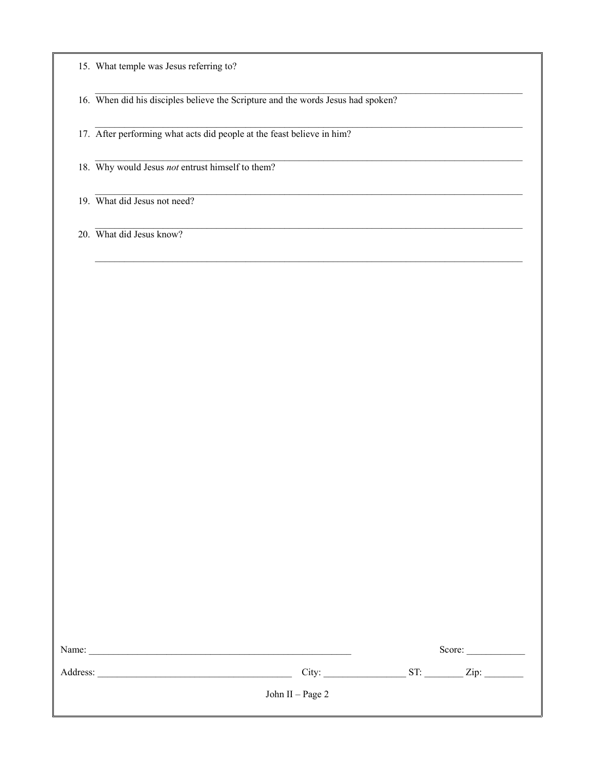15. What temple was Jesus referring to?

16. When did his disciples believe the Scripture and the words Jesus had spoken?

17. After performing what acts did people at the feast believe in him?

18. Why would Jesus not entrust himself to them?

19. What did Jesus not need?

20. What did Jesus know?

| Name:    |                  | Score:      |
|----------|------------------|-------------|
| Address: | City:            | ST:<br>Zip: |
|          | John II – Page 2 |             |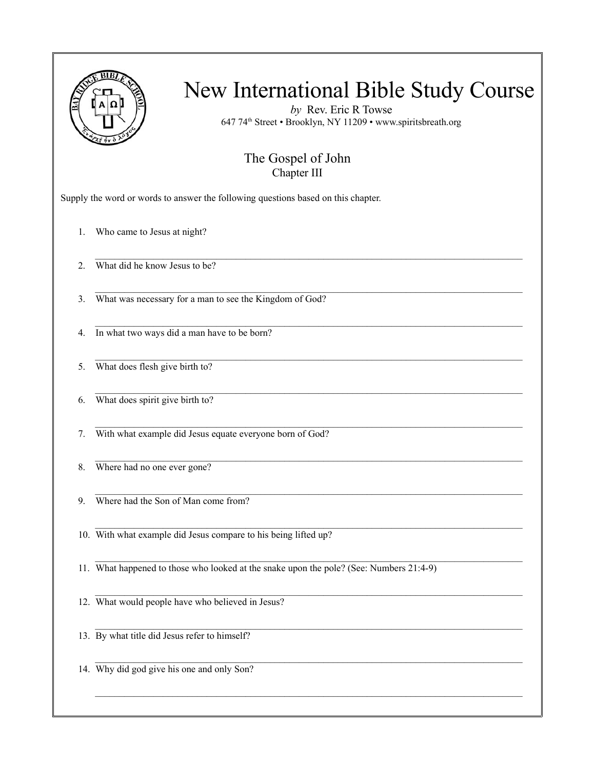|    | New International Bible Study Course<br>by Rev. Eric R Towse<br>647 74 <sup>th</sup> Street • Brooklyn, NY 11209 • www.spiritsbreath.org |
|----|------------------------------------------------------------------------------------------------------------------------------------------|
|    | The Gospel of John<br>Chapter III                                                                                                        |
|    | Supply the word or words to answer the following questions based on this chapter.                                                        |
| 1. | Who came to Jesus at night?                                                                                                              |
| 2. | What did he know Jesus to be?                                                                                                            |
| 3. | What was necessary for a man to see the Kingdom of God?                                                                                  |
| 4. | In what two ways did a man have to be born?                                                                                              |
| 5. | What does flesh give birth to?                                                                                                           |
| 6. | What does spirit give birth to?                                                                                                          |
| 7. | With what example did Jesus equate everyone born of God?                                                                                 |
| 8. | Where had no one ever gone?                                                                                                              |
| 9. | Where had the Son of Man come from?                                                                                                      |
|    | 10. With what example did Jesus compare to his being lifted up?                                                                          |
|    | 11. What happened to those who looked at the snake upon the pole? (See: Numbers 21:4-9)                                                  |
|    | 12. What would people have who believed in Jesus?                                                                                        |
|    | 13. By what title did Jesus refer to himself?                                                                                            |
|    | 14. Why did god give his one and only Son?                                                                                               |
|    |                                                                                                                                          |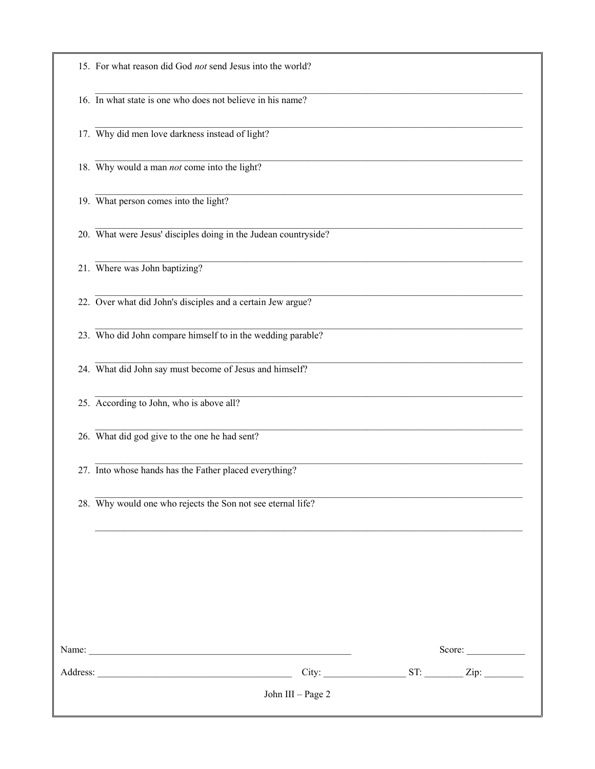| John III - Page 2                                               |
|-----------------------------------------------------------------|
|                                                                 |
| Score:                                                          |
|                                                                 |
| 28. Why would one who rejects the Son not see eternal life?     |
| 27. Into whose hands has the Father placed everything?          |
| 26. What did god give to the one he had sent?                   |
| 25. According to John, who is above all?                        |
| 24. What did John say must become of Jesus and himself?         |
| 23. Who did John compare himself to in the wedding parable?     |
| 22. Over what did John's disciples and a certain Jew argue?     |
| 21. Where was John baptizing?                                   |
| 20. What were Jesus' disciples doing in the Judean countryside? |
| 19. What person comes into the light?                           |
| 18. Why would a man not come into the light?                    |
| 17. Why did men love darkness instead of light?                 |
| 16. In what state is one who does not believe in his name?      |
| 15. For what reason did God not send Jesus into the world?      |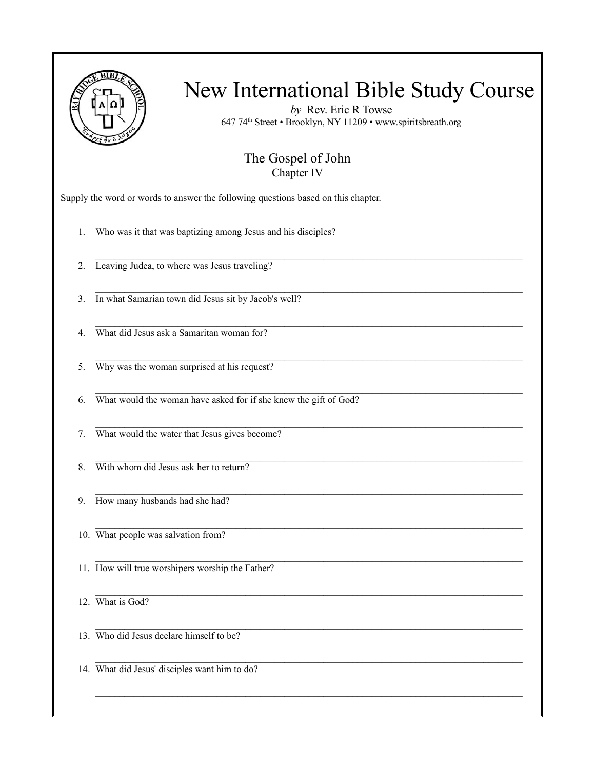

*by* Rev. Eric R Towse 647 74th Street • Brooklyn, NY 11209 • www.spiritsbreath.org

#### The Gospel of John Chapter IV

 $\mathcal{L}_\text{max}$ 

 $\mathcal{L}_\mathcal{L} = \{ \mathcal{L}_\mathcal{L} = \{ \mathcal{L}_\mathcal{L} = \{ \mathcal{L}_\mathcal{L} = \{ \mathcal{L}_\mathcal{L} = \{ \mathcal{L}_\mathcal{L} = \{ \mathcal{L}_\mathcal{L} = \{ \mathcal{L}_\mathcal{L} = \{ \mathcal{L}_\mathcal{L} = \{ \mathcal{L}_\mathcal{L} = \{ \mathcal{L}_\mathcal{L} = \{ \mathcal{L}_\mathcal{L} = \{ \mathcal{L}_\mathcal{L} = \{ \mathcal{L}_\mathcal{L} = \{ \mathcal{L}_\mathcal{$ 

 $\mathcal{L}_\mathcal{L} = \{ \mathcal{L}_\mathcal{L} = \{ \mathcal{L}_\mathcal{L} = \{ \mathcal{L}_\mathcal{L} = \{ \mathcal{L}_\mathcal{L} = \{ \mathcal{L}_\mathcal{L} = \{ \mathcal{L}_\mathcal{L} = \{ \mathcal{L}_\mathcal{L} = \{ \mathcal{L}_\mathcal{L} = \{ \mathcal{L}_\mathcal{L} = \{ \mathcal{L}_\mathcal{L} = \{ \mathcal{L}_\mathcal{L} = \{ \mathcal{L}_\mathcal{L} = \{ \mathcal{L}_\mathcal{L} = \{ \mathcal{L}_\mathcal{$ 

 $\mathcal{L}_\text{max}$ 

 $\mathcal{L}_\mathcal{L} = \{ \mathcal{L}_\mathcal{L} = \{ \mathcal{L}_\mathcal{L} = \{ \mathcal{L}_\mathcal{L} = \{ \mathcal{L}_\mathcal{L} = \{ \mathcal{L}_\mathcal{L} = \{ \mathcal{L}_\mathcal{L} = \{ \mathcal{L}_\mathcal{L} = \{ \mathcal{L}_\mathcal{L} = \{ \mathcal{L}_\mathcal{L} = \{ \mathcal{L}_\mathcal{L} = \{ \mathcal{L}_\mathcal{L} = \{ \mathcal{L}_\mathcal{L} = \{ \mathcal{L}_\mathcal{L} = \{ \mathcal{L}_\mathcal{$ 

 $\mathcal{L}_\mathcal{L} = \{ \mathcal{L}_\mathcal{L} = \{ \mathcal{L}_\mathcal{L} = \{ \mathcal{L}_\mathcal{L} = \{ \mathcal{L}_\mathcal{L} = \{ \mathcal{L}_\mathcal{L} = \{ \mathcal{L}_\mathcal{L} = \{ \mathcal{L}_\mathcal{L} = \{ \mathcal{L}_\mathcal{L} = \{ \mathcal{L}_\mathcal{L} = \{ \mathcal{L}_\mathcal{L} = \{ \mathcal{L}_\mathcal{L} = \{ \mathcal{L}_\mathcal{L} = \{ \mathcal{L}_\mathcal{L} = \{ \mathcal{L}_\mathcal{$ 

 $\mathcal{L}_\text{max}$ 

Supply the word or words to answer the following questions based on this chapter.

1. Who was it that was baptizing among Jesus and his disciples?

2. Leaving Judea, to where was Jesus traveling?

3. In what Samarian town did Jesus sit by Jacob's well?

 $\mathcal{L}_\mathcal{L} = \{ \mathcal{L}_\mathcal{L} = \{ \mathcal{L}_\mathcal{L} = \{ \mathcal{L}_\mathcal{L} = \{ \mathcal{L}_\mathcal{L} = \{ \mathcal{L}_\mathcal{L} = \{ \mathcal{L}_\mathcal{L} = \{ \mathcal{L}_\mathcal{L} = \{ \mathcal{L}_\mathcal{L} = \{ \mathcal{L}_\mathcal{L} = \{ \mathcal{L}_\mathcal{L} = \{ \mathcal{L}_\mathcal{L} = \{ \mathcal{L}_\mathcal{L} = \{ \mathcal{L}_\mathcal{L} = \{ \mathcal{L}_\mathcal{$ 4. What did Jesus ask a Samaritan woman for?

5. Why was the woman surprised at his request?

6. What would the woman have asked for if she knew the gift of God?

7. What would the water that Jesus gives become?

8. With whom did Jesus ask her to return?

9. How many husbands had she had?

10. What people was salvation from?

11. How will true worshipers worship the Father?

12. What is God?

13. Who did Jesus declare himself to be?

14. What did Jesus' disciples want him to do?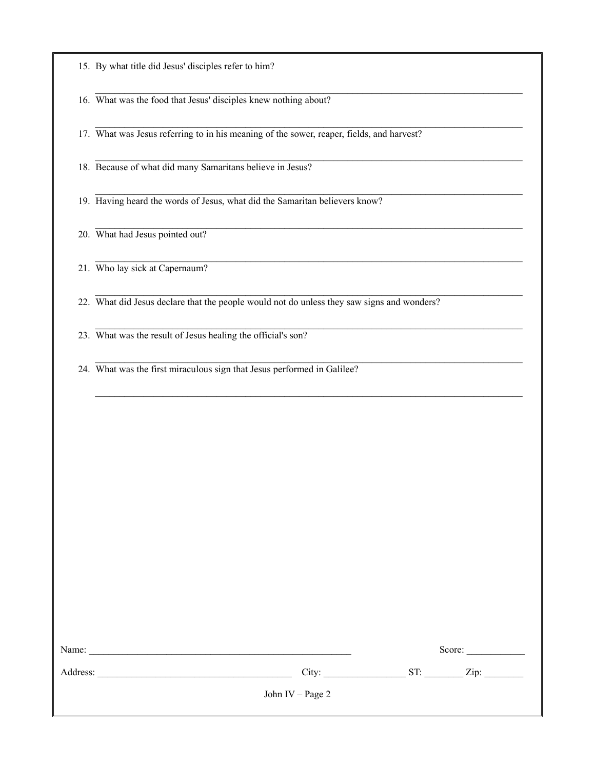|  |  | 15. By what title did Jesus' disciples refer to him? |  |  |  |
|--|--|------------------------------------------------------|--|--|--|
|--|--|------------------------------------------------------|--|--|--|

 $\mathcal{L}_\mathcal{L} = \{ \mathcal{L}_\mathcal{L} = \{ \mathcal{L}_\mathcal{L} = \{ \mathcal{L}_\mathcal{L} = \{ \mathcal{L}_\mathcal{L} = \{ \mathcal{L}_\mathcal{L} = \{ \mathcal{L}_\mathcal{L} = \{ \mathcal{L}_\mathcal{L} = \{ \mathcal{L}_\mathcal{L} = \{ \mathcal{L}_\mathcal{L} = \{ \mathcal{L}_\mathcal{L} = \{ \mathcal{L}_\mathcal{L} = \{ \mathcal{L}_\mathcal{L} = \{ \mathcal{L}_\mathcal{L} = \{ \mathcal{L}_\mathcal{$ 16. What was the food that Jesus' disciples knew nothing about?

17. What was Jesus referring to in his meaning of the sower, reaper, fields, and harvest?

 $\mathcal{L}_\mathcal{L} = \{ \mathcal{L}_\mathcal{L} = \{ \mathcal{L}_\mathcal{L} = \{ \mathcal{L}_\mathcal{L} = \{ \mathcal{L}_\mathcal{L} = \{ \mathcal{L}_\mathcal{L} = \{ \mathcal{L}_\mathcal{L} = \{ \mathcal{L}_\mathcal{L} = \{ \mathcal{L}_\mathcal{L} = \{ \mathcal{L}_\mathcal{L} = \{ \mathcal{L}_\mathcal{L} = \{ \mathcal{L}_\mathcal{L} = \{ \mathcal{L}_\mathcal{L} = \{ \mathcal{L}_\mathcal{L} = \{ \mathcal{L}_\mathcal{$ 

 $\mathcal{L}_\mathcal{L} = \{ \mathcal{L}_\mathcal{L} = \{ \mathcal{L}_\mathcal{L} = \{ \mathcal{L}_\mathcal{L} = \{ \mathcal{L}_\mathcal{L} = \{ \mathcal{L}_\mathcal{L} = \{ \mathcal{L}_\mathcal{L} = \{ \mathcal{L}_\mathcal{L} = \{ \mathcal{L}_\mathcal{L} = \{ \mathcal{L}_\mathcal{L} = \{ \mathcal{L}_\mathcal{L} = \{ \mathcal{L}_\mathcal{L} = \{ \mathcal{L}_\mathcal{L} = \{ \mathcal{L}_\mathcal{L} = \{ \mathcal{L}_\mathcal{$ 

 $\mathcal{L}_\text{max}$ 

 $\mathcal{L}_\mathcal{L} = \{ \mathcal{L}_\mathcal{L} = \{ \mathcal{L}_\mathcal{L} = \{ \mathcal{L}_\mathcal{L} = \{ \mathcal{L}_\mathcal{L} = \{ \mathcal{L}_\mathcal{L} = \{ \mathcal{L}_\mathcal{L} = \{ \mathcal{L}_\mathcal{L} = \{ \mathcal{L}_\mathcal{L} = \{ \mathcal{L}_\mathcal{L} = \{ \mathcal{L}_\mathcal{L} = \{ \mathcal{L}_\mathcal{L} = \{ \mathcal{L}_\mathcal{L} = \{ \mathcal{L}_\mathcal{L} = \{ \mathcal{L}_\mathcal{$ 

 $\mathcal{L}_\mathcal{L} = \{ \mathcal{L}_\mathcal{L} = \{ \mathcal{L}_\mathcal{L} = \{ \mathcal{L}_\mathcal{L} = \{ \mathcal{L}_\mathcal{L} = \{ \mathcal{L}_\mathcal{L} = \{ \mathcal{L}_\mathcal{L} = \{ \mathcal{L}_\mathcal{L} = \{ \mathcal{L}_\mathcal{L} = \{ \mathcal{L}_\mathcal{L} = \{ \mathcal{L}_\mathcal{L} = \{ \mathcal{L}_\mathcal{L} = \{ \mathcal{L}_\mathcal{L} = \{ \mathcal{L}_\mathcal{L} = \{ \mathcal{L}_\mathcal{$ 

18. Because of what did many Samaritans believe in Jesus?

19. Having heard the words of Jesus, what did the Samaritan believers know?

20. What had Jesus pointed out?

21. Who lay sick at Capernaum?

22. What did Jesus declare that the people would not do unless they saw signs and wonders?

23. What was the result of Jesus healing the official's son?

24. What was the first miraculous sign that Jesus performed in Galilee?

| Name:    |                  |     | Score: |  |
|----------|------------------|-----|--------|--|
| Address: | City:            | ST: | Zip:   |  |
|          | John IV – Page 2 |     |        |  |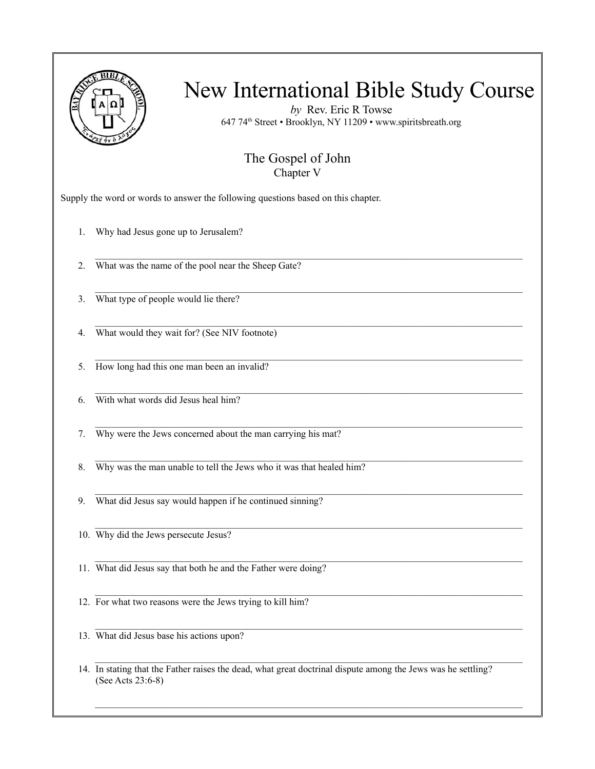

*by* Rev. Eric R Towse 647 74th Street • Brooklyn, NY 11209 • www.spiritsbreath.org

#### The Gospel of John Chapter V

 $\mathcal{L}_\text{max}$ 

 $\mathcal{L}_\mathcal{L} = \{ \mathcal{L}_\mathcal{L} = \{ \mathcal{L}_\mathcal{L} = \{ \mathcal{L}_\mathcal{L} = \{ \mathcal{L}_\mathcal{L} = \{ \mathcal{L}_\mathcal{L} = \{ \mathcal{L}_\mathcal{L} = \{ \mathcal{L}_\mathcal{L} = \{ \mathcal{L}_\mathcal{L} = \{ \mathcal{L}_\mathcal{L} = \{ \mathcal{L}_\mathcal{L} = \{ \mathcal{L}_\mathcal{L} = \{ \mathcal{L}_\mathcal{L} = \{ \mathcal{L}_\mathcal{L} = \{ \mathcal{L}_\mathcal{$ 

 $\mathcal{L}_\mathcal{L} = \{ \mathcal{L}_\mathcal{L} = \{ \mathcal{L}_\mathcal{L} = \{ \mathcal{L}_\mathcal{L} = \{ \mathcal{L}_\mathcal{L} = \{ \mathcal{L}_\mathcal{L} = \{ \mathcal{L}_\mathcal{L} = \{ \mathcal{L}_\mathcal{L} = \{ \mathcal{L}_\mathcal{L} = \{ \mathcal{L}_\mathcal{L} = \{ \mathcal{L}_\mathcal{L} = \{ \mathcal{L}_\mathcal{L} = \{ \mathcal{L}_\mathcal{L} = \{ \mathcal{L}_\mathcal{L} = \{ \mathcal{L}_\mathcal{$ 

 $\mathcal{L}_\text{max}$ 

 $\mathcal{L}_\mathcal{L} = \{ \mathcal{L}_\mathcal{L} = \{ \mathcal{L}_\mathcal{L} = \{ \mathcal{L}_\mathcal{L} = \{ \mathcal{L}_\mathcal{L} = \{ \mathcal{L}_\mathcal{L} = \{ \mathcal{L}_\mathcal{L} = \{ \mathcal{L}_\mathcal{L} = \{ \mathcal{L}_\mathcal{L} = \{ \mathcal{L}_\mathcal{L} = \{ \mathcal{L}_\mathcal{L} = \{ \mathcal{L}_\mathcal{L} = \{ \mathcal{L}_\mathcal{L} = \{ \mathcal{L}_\mathcal{L} = \{ \mathcal{L}_\mathcal{$ 

 $\mathcal{L}_\mathcal{L} = \{ \mathcal{L}_\mathcal{L} = \{ \mathcal{L}_\mathcal{L} = \{ \mathcal{L}_\mathcal{L} = \{ \mathcal{L}_\mathcal{L} = \{ \mathcal{L}_\mathcal{L} = \{ \mathcal{L}_\mathcal{L} = \{ \mathcal{L}_\mathcal{L} = \{ \mathcal{L}_\mathcal{L} = \{ \mathcal{L}_\mathcal{L} = \{ \mathcal{L}_\mathcal{L} = \{ \mathcal{L}_\mathcal{L} = \{ \mathcal{L}_\mathcal{L} = \{ \mathcal{L}_\mathcal{L} = \{ \mathcal{L}_\mathcal{$ 

Supply the word or words to answer the following questions based on this chapter.

1. Why had Jesus gone up to Jerusalem?

2. What was the name of the pool near the Sheep Gate?

3. What type of people would lie there?

 $\mathcal{L}_\mathcal{L} = \{ \mathcal{L}_\mathcal{L} = \{ \mathcal{L}_\mathcal{L} = \{ \mathcal{L}_\mathcal{L} = \{ \mathcal{L}_\mathcal{L} = \{ \mathcal{L}_\mathcal{L} = \{ \mathcal{L}_\mathcal{L} = \{ \mathcal{L}_\mathcal{L} = \{ \mathcal{L}_\mathcal{L} = \{ \mathcal{L}_\mathcal{L} = \{ \mathcal{L}_\mathcal{L} = \{ \mathcal{L}_\mathcal{L} = \{ \mathcal{L}_\mathcal{L} = \{ \mathcal{L}_\mathcal{L} = \{ \mathcal{L}_\mathcal{$ 4. What would they wait for? (See NIV footnote)

5. How long had this one man been an invalid?

6. With what words did Jesus heal him?

7. Why were the Jews concerned about the man carrying his mat?

8. Why was the man unable to tell the Jews who it was that healed him?

9. What did Jesus say would happen if he continued sinning?

10. Why did the Jews persecute Jesus?

11. What did Jesus say that both he and the Father were doing?

12. For what two reasons were the Jews trying to kill him?

13. What did Jesus base his actions upon?

14. In stating that the Father raises the dead, what great doctrinal dispute among the Jews was he settling? (See Acts 23:6-8)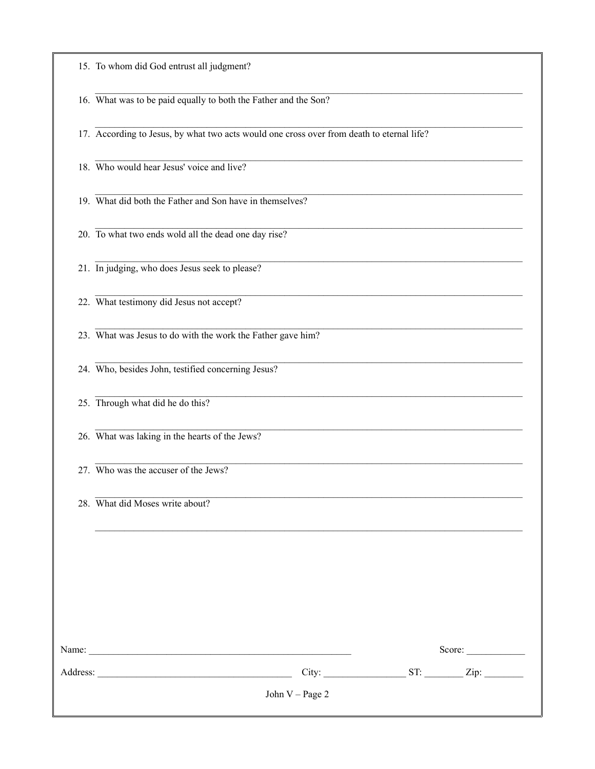| 15. To whom did God entrust all judgment? |
|-------------------------------------------|
|-------------------------------------------|

16. What was to be paid equally to both the Father and the Son?

17. According to Jesus, by what two acts would one cross over from death to eternal life?

18. Who would hear Jesus' voice and live?

19. What did both the Father and Son have in themselves?

20. To what two ends wold all the dead one day rise?

21. In judging, who does Jesus seek to please?

22. What testimony did Jesus not accept?

23. What was Jesus to do with the work the Father gave him?

24. Who, besides John, testified concerning Jesus?

25. Through what did he do this?

26. What was laking in the hearts of the Jews?

27. Who was the accuser of the Jews?

28. What did Moses write about?

| Name:    |                   | Score:      |
|----------|-------------------|-------------|
| Address: | City:             | ST:<br>Zip: |
|          | John $V - Page 2$ |             |
|          |                   |             |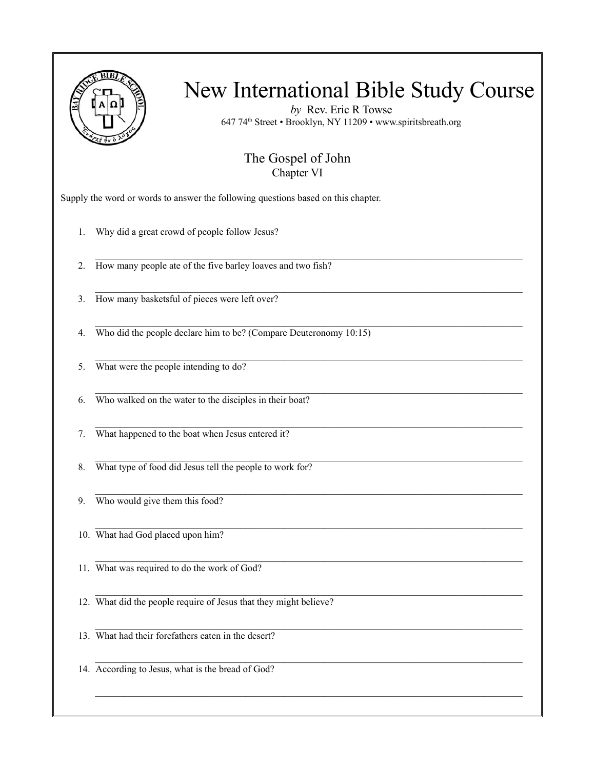

*by* Rev. Eric R Towse 647 74th Street • Brooklyn, NY 11209 • www.spiritsbreath.org

#### The Gospel of John Chapter VI

 $\mathcal{L}_\text{max}$ 

 $\mathcal{L}_\mathcal{L} = \{ \mathcal{L}_\mathcal{L} = \{ \mathcal{L}_\mathcal{L} = \{ \mathcal{L}_\mathcal{L} = \{ \mathcal{L}_\mathcal{L} = \{ \mathcal{L}_\mathcal{L} = \{ \mathcal{L}_\mathcal{L} = \{ \mathcal{L}_\mathcal{L} = \{ \mathcal{L}_\mathcal{L} = \{ \mathcal{L}_\mathcal{L} = \{ \mathcal{L}_\mathcal{L} = \{ \mathcal{L}_\mathcal{L} = \{ \mathcal{L}_\mathcal{L} = \{ \mathcal{L}_\mathcal{L} = \{ \mathcal{L}_\mathcal{$ 

 $\mathcal{L}_\mathcal{L} = \{ \mathcal{L}_\mathcal{L} = \{ \mathcal{L}_\mathcal{L} = \{ \mathcal{L}_\mathcal{L} = \{ \mathcal{L}_\mathcal{L} = \{ \mathcal{L}_\mathcal{L} = \{ \mathcal{L}_\mathcal{L} = \{ \mathcal{L}_\mathcal{L} = \{ \mathcal{L}_\mathcal{L} = \{ \mathcal{L}_\mathcal{L} = \{ \mathcal{L}_\mathcal{L} = \{ \mathcal{L}_\mathcal{L} = \{ \mathcal{L}_\mathcal{L} = \{ \mathcal{L}_\mathcal{L} = \{ \mathcal{L}_\mathcal{$ 

 $\mathcal{L}_\text{max}$ 

 $\mathcal{L}_\mathcal{L} = \{ \mathcal{L}_\mathcal{L} = \{ \mathcal{L}_\mathcal{L} = \{ \mathcal{L}_\mathcal{L} = \{ \mathcal{L}_\mathcal{L} = \{ \mathcal{L}_\mathcal{L} = \{ \mathcal{L}_\mathcal{L} = \{ \mathcal{L}_\mathcal{L} = \{ \mathcal{L}_\mathcal{L} = \{ \mathcal{L}_\mathcal{L} = \{ \mathcal{L}_\mathcal{L} = \{ \mathcal{L}_\mathcal{L} = \{ \mathcal{L}_\mathcal{L} = \{ \mathcal{L}_\mathcal{L} = \{ \mathcal{L}_\mathcal{$ 

 $\mathcal{L}_\text{max}$ 

Supply the word or words to answer the following questions based on this chapter.

1. Why did a great crowd of people follow Jesus?

2. How many people ate of the five barley loaves and two fish?

3. How many basketsful of pieces were left over?

 $\mathcal{L}_\mathcal{L} = \{ \mathcal{L}_\mathcal{L} = \{ \mathcal{L}_\mathcal{L} = \{ \mathcal{L}_\mathcal{L} = \{ \mathcal{L}_\mathcal{L} = \{ \mathcal{L}_\mathcal{L} = \{ \mathcal{L}_\mathcal{L} = \{ \mathcal{L}_\mathcal{L} = \{ \mathcal{L}_\mathcal{L} = \{ \mathcal{L}_\mathcal{L} = \{ \mathcal{L}_\mathcal{L} = \{ \mathcal{L}_\mathcal{L} = \{ \mathcal{L}_\mathcal{L} = \{ \mathcal{L}_\mathcal{L} = \{ \mathcal{L}_\mathcal{$ 4. Who did the people declare him to be? (Compare Deuteronomy 10:15)

5. What were the people intending to do?

6. Who walked on the water to the disciples in their boat?

7. What happened to the boat when Jesus entered it?

8. What type of food did Jesus tell the people to work for?

9. Who would give them this food?

10. What had God placed upon him?

11. What was required to do the work of God?

12. What did the people require of Jesus that they might believe?

13. What had their forefathers eaten in the desert?

 $\mathcal{L}_\mathcal{L} = \{ \mathcal{L}_\mathcal{L} = \{ \mathcal{L}_\mathcal{L} = \{ \mathcal{L}_\mathcal{L} = \{ \mathcal{L}_\mathcal{L} = \{ \mathcal{L}_\mathcal{L} = \{ \mathcal{L}_\mathcal{L} = \{ \mathcal{L}_\mathcal{L} = \{ \mathcal{L}_\mathcal{L} = \{ \mathcal{L}_\mathcal{L} = \{ \mathcal{L}_\mathcal{L} = \{ \mathcal{L}_\mathcal{L} = \{ \mathcal{L}_\mathcal{L} = \{ \mathcal{L}_\mathcal{L} = \{ \mathcal{L}_\mathcal{$ 14. According to Jesus, what is the bread of God?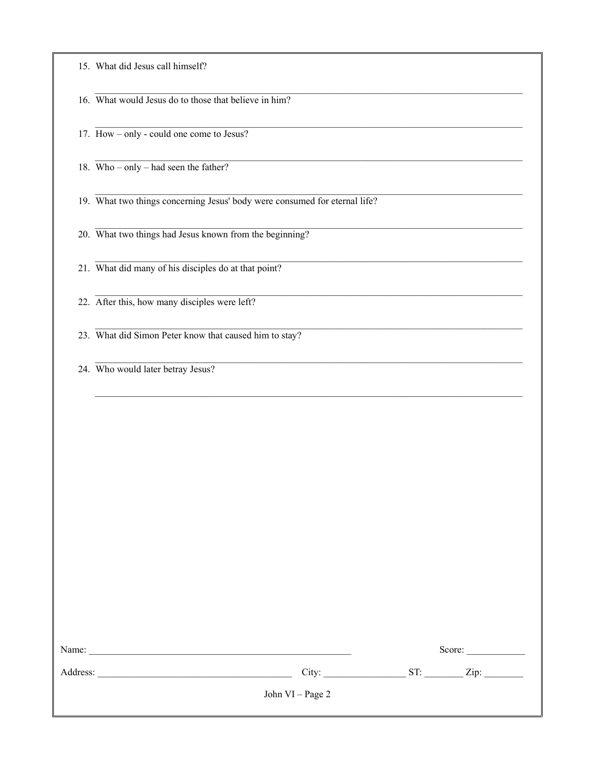| 15. What did Jesus call himself? |
|----------------------------------|
|----------------------------------|

|  |  |  |  |  |  |  |  | 16. What would Jesus do to those that believe in him? |  |  |  |
|--|--|--|--|--|--|--|--|-------------------------------------------------------|--|--|--|
|--|--|--|--|--|--|--|--|-------------------------------------------------------|--|--|--|

17. How – only - could one come to Jesus?

18. Who – only – had seen the father?

19. What two things concerning Jesus' body were consumed for eternal life?

20. What two things had Jesus known from the beginning?

21. What did many of his disciples do at that point?

22. After this, how many disciples were left?

23. What did Simon Peter know that caused him to stay?

24. Who would later betray Jesus?

| Name:    |                  |     | Score: |
|----------|------------------|-----|--------|
| Address: | City:            | ST: | Zip:   |
|          | John VI – Page 2 |     |        |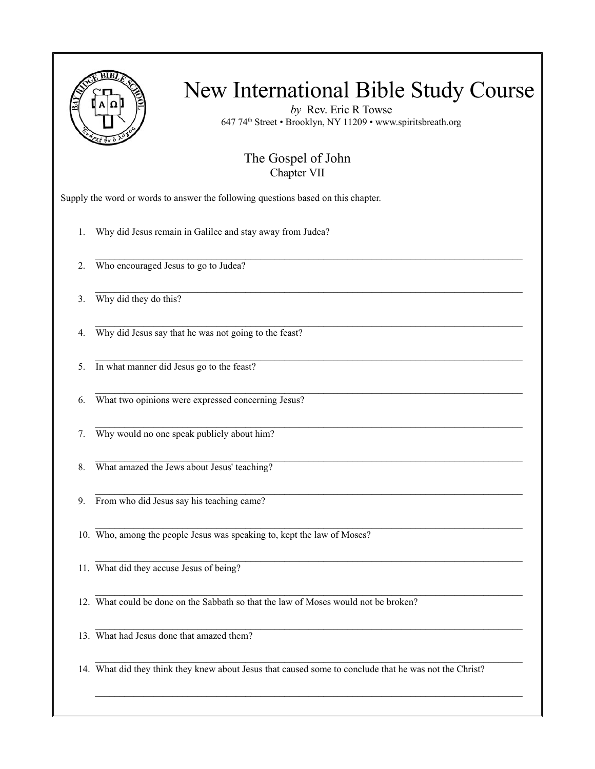

*by* Rev. Eric R Towse 647 74th Street • Brooklyn, NY 11209 • www.spiritsbreath.org

#### The Gospel of John Chapter VII

 $\mathcal{L}_\text{max}$ 

 $\mathcal{L}_\mathcal{L} = \{ \mathcal{L}_\mathcal{L} = \{ \mathcal{L}_\mathcal{L} = \{ \mathcal{L}_\mathcal{L} = \{ \mathcal{L}_\mathcal{L} = \{ \mathcal{L}_\mathcal{L} = \{ \mathcal{L}_\mathcal{L} = \{ \mathcal{L}_\mathcal{L} = \{ \mathcal{L}_\mathcal{L} = \{ \mathcal{L}_\mathcal{L} = \{ \mathcal{L}_\mathcal{L} = \{ \mathcal{L}_\mathcal{L} = \{ \mathcal{L}_\mathcal{L} = \{ \mathcal{L}_\mathcal{L} = \{ \mathcal{L}_\mathcal{$ 

 $\mathcal{L}_\text{max}$ 

 $\mathcal{L}_\mathcal{L} = \{ \mathcal{L}_\mathcal{L} = \{ \mathcal{L}_\mathcal{L} = \{ \mathcal{L}_\mathcal{L} = \{ \mathcal{L}_\mathcal{L} = \{ \mathcal{L}_\mathcal{L} = \{ \mathcal{L}_\mathcal{L} = \{ \mathcal{L}_\mathcal{L} = \{ \mathcal{L}_\mathcal{L} = \{ \mathcal{L}_\mathcal{L} = \{ \mathcal{L}_\mathcal{L} = \{ \mathcal{L}_\mathcal{L} = \{ \mathcal{L}_\mathcal{L} = \{ \mathcal{L}_\mathcal{L} = \{ \mathcal{L}_\mathcal{$ 

 $\mathcal{L}_\text{max}$ 

Supply the word or words to answer the following questions based on this chapter.

1. Why did Jesus remain in Galilee and stay away from Judea?

2. Who encouraged Jesus to go to Judea?

3. Why did they do this?

 $\mathcal{L}_\mathcal{L} = \{ \mathcal{L}_\mathcal{L} = \{ \mathcal{L}_\mathcal{L} = \{ \mathcal{L}_\mathcal{L} = \{ \mathcal{L}_\mathcal{L} = \{ \mathcal{L}_\mathcal{L} = \{ \mathcal{L}_\mathcal{L} = \{ \mathcal{L}_\mathcal{L} = \{ \mathcal{L}_\mathcal{L} = \{ \mathcal{L}_\mathcal{L} = \{ \mathcal{L}_\mathcal{L} = \{ \mathcal{L}_\mathcal{L} = \{ \mathcal{L}_\mathcal{L} = \{ \mathcal{L}_\mathcal{L} = \{ \mathcal{L}_\mathcal{$ 4. Why did Jesus say that he was not going to the feast?

5. In what manner did Jesus go to the feast?

6. What two opinions were expressed concerning Jesus?

7. Why would no one speak publicly about him?

 $\mathcal{L}_\mathcal{L} = \{ \mathcal{L}_\mathcal{L} = \{ \mathcal{L}_\mathcal{L} = \{ \mathcal{L}_\mathcal{L} = \{ \mathcal{L}_\mathcal{L} = \{ \mathcal{L}_\mathcal{L} = \{ \mathcal{L}_\mathcal{L} = \{ \mathcal{L}_\mathcal{L} = \{ \mathcal{L}_\mathcal{L} = \{ \mathcal{L}_\mathcal{L} = \{ \mathcal{L}_\mathcal{L} = \{ \mathcal{L}_\mathcal{L} = \{ \mathcal{L}_\mathcal{L} = \{ \mathcal{L}_\mathcal{L} = \{ \mathcal{L}_\mathcal{$ 8. What amazed the Jews about Jesus' teaching?

9. From who did Jesus say his teaching came?

10. Who, among the people Jesus was speaking to, kept the law of Moses?

11. What did they accuse Jesus of being?

12. What could be done on the Sabbath so that the law of Moses would not be broken?

13. What had Jesus done that amazed them?

 $\mathcal{L}_\mathcal{L} = \{ \mathcal{L}_\mathcal{L} = \{ \mathcal{L}_\mathcal{L} = \{ \mathcal{L}_\mathcal{L} = \{ \mathcal{L}_\mathcal{L} = \{ \mathcal{L}_\mathcal{L} = \{ \mathcal{L}_\mathcal{L} = \{ \mathcal{L}_\mathcal{L} = \{ \mathcal{L}_\mathcal{L} = \{ \mathcal{L}_\mathcal{L} = \{ \mathcal{L}_\mathcal{L} = \{ \mathcal{L}_\mathcal{L} = \{ \mathcal{L}_\mathcal{L} = \{ \mathcal{L}_\mathcal{L} = \{ \mathcal{L}_\mathcal{$ 14. What did they think they knew about Jesus that caused some to conclude that he was not the Christ?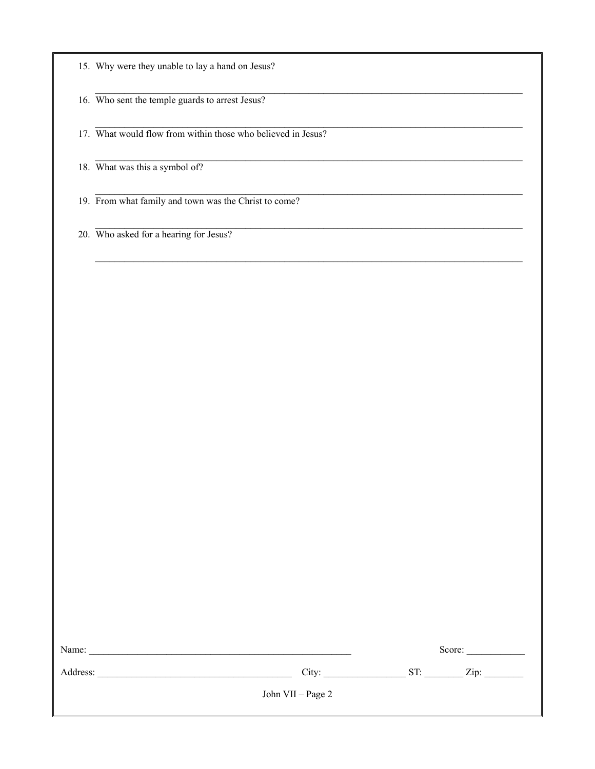|  |  |  | 15. Why were they unable to lay a hand on Jesus? |
|--|--|--|--------------------------------------------------|
|  |  |  |                                                  |

16. Who sent the temple guards to arrest Jesus?

17. What would flow from within those who believed in Jesus?

18. What was this a symbol of?

19. From what family and town was the Christ to come?

20. Who asked for a hearing for Jesus?

| Name:    |                   |     | Score: |  |
|----------|-------------------|-----|--------|--|
| Address: | City:             | ST: | Zip:   |  |
|          | John VII – Page 2 |     |        |  |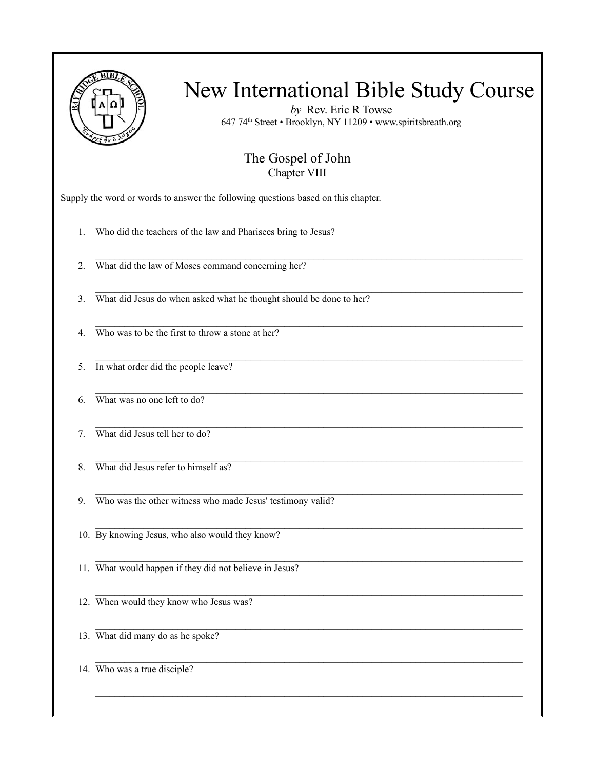

*by* Rev. Eric R Towse 647 74th Street • Brooklyn, NY 11209 • www.spiritsbreath.org

#### The Gospel of John Chapter VIII

 $\mathcal{L}_\text{max}$ 

 $\mathcal{L}_\mathcal{L} = \{ \mathcal{L}_\mathcal{L} = \{ \mathcal{L}_\mathcal{L} = \{ \mathcal{L}_\mathcal{L} = \{ \mathcal{L}_\mathcal{L} = \{ \mathcal{L}_\mathcal{L} = \{ \mathcal{L}_\mathcal{L} = \{ \mathcal{L}_\mathcal{L} = \{ \mathcal{L}_\mathcal{L} = \{ \mathcal{L}_\mathcal{L} = \{ \mathcal{L}_\mathcal{L} = \{ \mathcal{L}_\mathcal{L} = \{ \mathcal{L}_\mathcal{L} = \{ \mathcal{L}_\mathcal{L} = \{ \mathcal{L}_\mathcal{$ 

 $\mathcal{L}_\mathcal{L} = \{ \mathcal{L}_\mathcal{L} = \{ \mathcal{L}_\mathcal{L} = \{ \mathcal{L}_\mathcal{L} = \{ \mathcal{L}_\mathcal{L} = \{ \mathcal{L}_\mathcal{L} = \{ \mathcal{L}_\mathcal{L} = \{ \mathcal{L}_\mathcal{L} = \{ \mathcal{L}_\mathcal{L} = \{ \mathcal{L}_\mathcal{L} = \{ \mathcal{L}_\mathcal{L} = \{ \mathcal{L}_\mathcal{L} = \{ \mathcal{L}_\mathcal{L} = \{ \mathcal{L}_\mathcal{L} = \{ \mathcal{L}_\mathcal{$ 

 $\mathcal{L}_\text{max}$ 

 $\mathcal{L}_\mathcal{L} = \{ \mathcal{L}_\mathcal{L} = \{ \mathcal{L}_\mathcal{L} = \{ \mathcal{L}_\mathcal{L} = \{ \mathcal{L}_\mathcal{L} = \{ \mathcal{L}_\mathcal{L} = \{ \mathcal{L}_\mathcal{L} = \{ \mathcal{L}_\mathcal{L} = \{ \mathcal{L}_\mathcal{L} = \{ \mathcal{L}_\mathcal{L} = \{ \mathcal{L}_\mathcal{L} = \{ \mathcal{L}_\mathcal{L} = \{ \mathcal{L}_\mathcal{L} = \{ \mathcal{L}_\mathcal{L} = \{ \mathcal{L}_\mathcal{$ 

 $\mathcal{L}_\mathcal{L} = \{ \mathcal{L}_\mathcal{L} = \{ \mathcal{L}_\mathcal{L} = \{ \mathcal{L}_\mathcal{L} = \{ \mathcal{L}_\mathcal{L} = \{ \mathcal{L}_\mathcal{L} = \{ \mathcal{L}_\mathcal{L} = \{ \mathcal{L}_\mathcal{L} = \{ \mathcal{L}_\mathcal{L} = \{ \mathcal{L}_\mathcal{L} = \{ \mathcal{L}_\mathcal{L} = \{ \mathcal{L}_\mathcal{L} = \{ \mathcal{L}_\mathcal{L} = \{ \mathcal{L}_\mathcal{L} = \{ \mathcal{L}_\mathcal{$ 

 $\mathcal{L}_\text{max}$ 

Supply the word or words to answer the following questions based on this chapter.

1. Who did the teachers of the law and Pharisees bring to Jesus?

2. What did the law of Moses command concerning her?

3. What did Jesus do when asked what he thought should be done to her?

 $\mathcal{L}_\mathcal{L} = \{ \mathcal{L}_\mathcal{L} = \{ \mathcal{L}_\mathcal{L} = \{ \mathcal{L}_\mathcal{L} = \{ \mathcal{L}_\mathcal{L} = \{ \mathcal{L}_\mathcal{L} = \{ \mathcal{L}_\mathcal{L} = \{ \mathcal{L}_\mathcal{L} = \{ \mathcal{L}_\mathcal{L} = \{ \mathcal{L}_\mathcal{L} = \{ \mathcal{L}_\mathcal{L} = \{ \mathcal{L}_\mathcal{L} = \{ \mathcal{L}_\mathcal{L} = \{ \mathcal{L}_\mathcal{L} = \{ \mathcal{L}_\mathcal{$ 4. Who was to be the first to throw a stone at her?

5. In what order did the people leave?

6. What was no one left to do?

7. What did Jesus tell her to do?

8. What did Jesus refer to himself as?

9. Who was the other witness who made Jesus' testimony valid?

10. By knowing Jesus, who also would they know?

11. What would happen if they did not believe in Jesus?

12. When would they know who Jesus was?

13. What did many do as he spoke?

14. Who was a true disciple?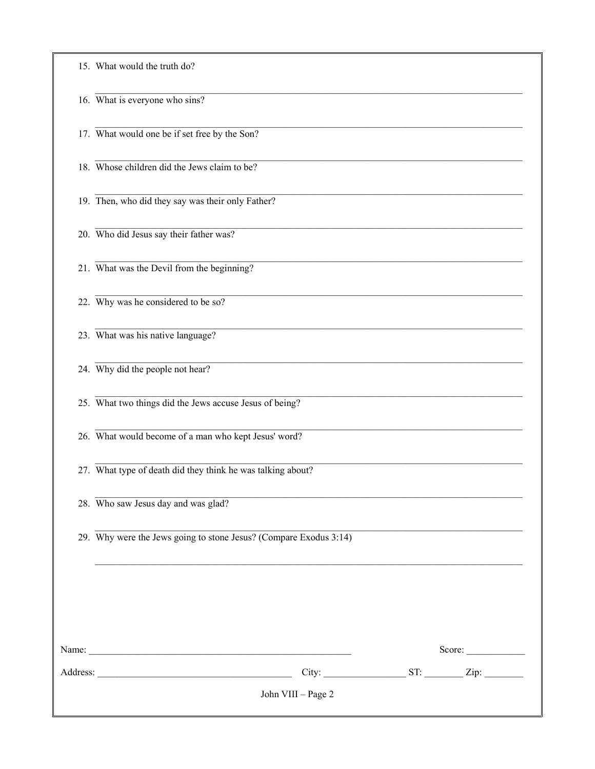| 15. What would the truth do?                                         |
|----------------------------------------------------------------------|
| 16. What is everyone who sins?                                       |
| 17. What would one be if set free by the Son?                        |
| 18. Whose children did the Jews claim to be?                         |
| 19. Then, who did they say was their only Father?                    |
| 20. Who did Jesus say their father was?                              |
| 21. What was the Devil from the beginning?                           |
| 22. Why was he considered to be so?                                  |
| 23. What was his native language?                                    |
| 24. Why did the people not hear?                                     |
| 25. What two things did the Jews accuse Jesus of being?              |
| 26. What would become of a man who kept Jesus' word?                 |
| 27. What type of death did they think he was talking about?          |
| 28. Who saw Jesus day and was glad?                                  |
| 29. Why were the Jews going to stone Jesus? (Compare Exodus $3:14$ ) |
|                                                                      |
|                                                                      |
| Score: $\qquad \qquad$                                               |
|                                                                      |
| John VIII - Page 2                                                   |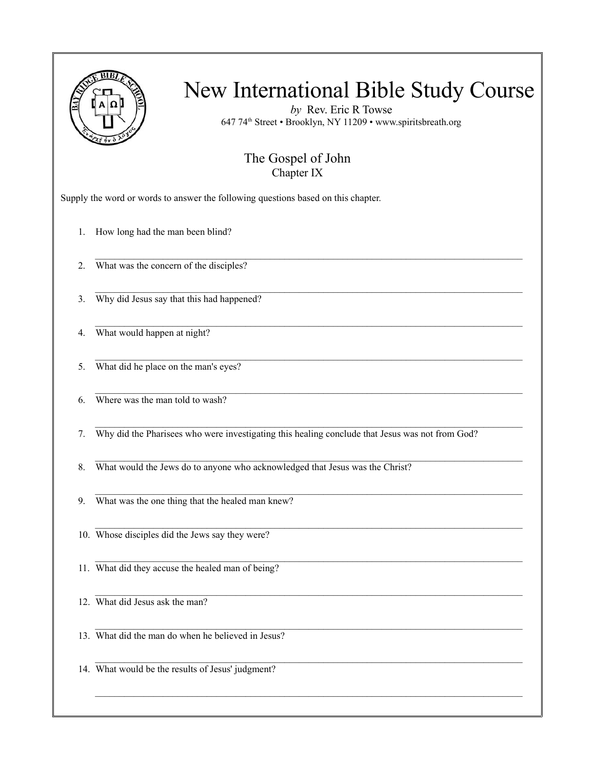

*by* Rev. Eric R Towse 647 74th Street • Brooklyn, NY 11209 • www.spiritsbreath.org

#### The Gospel of John Chapter IX

 $\mathcal{L}_\mathcal{L} = \{ \mathcal{L}_\mathcal{L} = \{ \mathcal{L}_\mathcal{L} = \{ \mathcal{L}_\mathcal{L} = \{ \mathcal{L}_\mathcal{L} = \{ \mathcal{L}_\mathcal{L} = \{ \mathcal{L}_\mathcal{L} = \{ \mathcal{L}_\mathcal{L} = \{ \mathcal{L}_\mathcal{L} = \{ \mathcal{L}_\mathcal{L} = \{ \mathcal{L}_\mathcal{L} = \{ \mathcal{L}_\mathcal{L} = \{ \mathcal{L}_\mathcal{L} = \{ \mathcal{L}_\mathcal{L} = \{ \mathcal{L}_\mathcal{$ 

 $\mathcal{L}_\text{max}$ 

 $\mathcal{L}_\mathcal{L} = \{ \mathcal{L}_\mathcal{L} = \{ \mathcal{L}_\mathcal{L} = \{ \mathcal{L}_\mathcal{L} = \{ \mathcal{L}_\mathcal{L} = \{ \mathcal{L}_\mathcal{L} = \{ \mathcal{L}_\mathcal{L} = \{ \mathcal{L}_\mathcal{L} = \{ \mathcal{L}_\mathcal{L} = \{ \mathcal{L}_\mathcal{L} = \{ \mathcal{L}_\mathcal{L} = \{ \mathcal{L}_\mathcal{L} = \{ \mathcal{L}_\mathcal{L} = \{ \mathcal{L}_\mathcal{L} = \{ \mathcal{L}_\mathcal{$ 

 $\mathcal{L}_\mathcal{L} = \{ \mathcal{L}_\mathcal{L} = \{ \mathcal{L}_\mathcal{L} = \{ \mathcal{L}_\mathcal{L} = \{ \mathcal{L}_\mathcal{L} = \{ \mathcal{L}_\mathcal{L} = \{ \mathcal{L}_\mathcal{L} = \{ \mathcal{L}_\mathcal{L} = \{ \mathcal{L}_\mathcal{L} = \{ \mathcal{L}_\mathcal{L} = \{ \mathcal{L}_\mathcal{L} = \{ \mathcal{L}_\mathcal{L} = \{ \mathcal{L}_\mathcal{L} = \{ \mathcal{L}_\mathcal{L} = \{ \mathcal{L}_\mathcal{$ 

 $\mathcal{L}_\text{max}$ 

 $\mathcal{L}_\mathcal{L} = \{ \mathcal{L}_\mathcal{L} = \{ \mathcal{L}_\mathcal{L} = \{ \mathcal{L}_\mathcal{L} = \{ \mathcal{L}_\mathcal{L} = \{ \mathcal{L}_\mathcal{L} = \{ \mathcal{L}_\mathcal{L} = \{ \mathcal{L}_\mathcal{L} = \{ \mathcal{L}_\mathcal{L} = \{ \mathcal{L}_\mathcal{L} = \{ \mathcal{L}_\mathcal{L} = \{ \mathcal{L}_\mathcal{L} = \{ \mathcal{L}_\mathcal{L} = \{ \mathcal{L}_\mathcal{L} = \{ \mathcal{L}_\mathcal{$ 

 $\mathcal{L}_\mathcal{L} = \{ \mathcal{L}_\mathcal{L} = \{ \mathcal{L}_\mathcal{L} = \{ \mathcal{L}_\mathcal{L} = \{ \mathcal{L}_\mathcal{L} = \{ \mathcal{L}_\mathcal{L} = \{ \mathcal{L}_\mathcal{L} = \{ \mathcal{L}_\mathcal{L} = \{ \mathcal{L}_\mathcal{L} = \{ \mathcal{L}_\mathcal{L} = \{ \mathcal{L}_\mathcal{L} = \{ \mathcal{L}_\mathcal{L} = \{ \mathcal{L}_\mathcal{L} = \{ \mathcal{L}_\mathcal{L} = \{ \mathcal{L}_\mathcal{$ 

 $\mathcal{L}_\text{max}$ 

Supply the word or words to answer the following questions based on this chapter.

1. How long had the man been blind?

2. What was the concern of the disciples?

3. Why did Jesus say that this had happened?

4. What would happen at night?

5. What did he place on the man's eyes?

6. Where was the man told to wash?

7. Why did the Pharisees who were investigating this healing conclude that Jesus was not from God?

8. What would the Jews do to anyone who acknowledged that Jesus was the Christ?

9. What was the one thing that the healed man knew?

10. Whose disciples did the Jews say they were?

11. What did they accuse the healed man of being?

12. What did Jesus ask the man?

13. What did the man do when he believed in Jesus?

14. What would be the results of Jesus' judgment?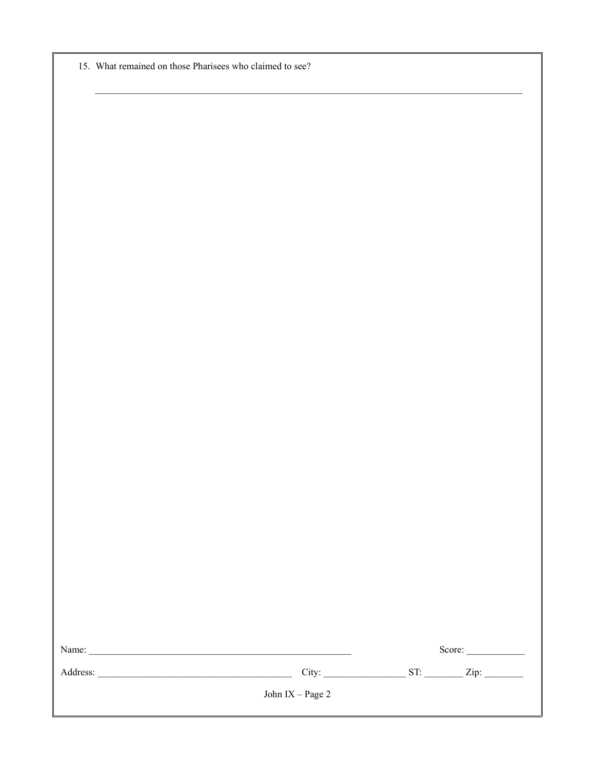15. What remained on those Pharisees who claimed to see?

|                                                                                                                       |                   | Score:                                                                                                               |
|-----------------------------------------------------------------------------------------------------------------------|-------------------|----------------------------------------------------------------------------------------------------------------------|
|                                                                                                                       | John $IX-Page\ 2$ |                                                                                                                      |
| <u> 1989 - Johann Barn, mars ann an t-Amhain an t-Amhain an t-Amhain an t-Amhain an t-Amhain an t-Amhain an t-Amh</u> |                   | <u> 1989 - Jan James James James James James James James James James James James James James James James James J</u> |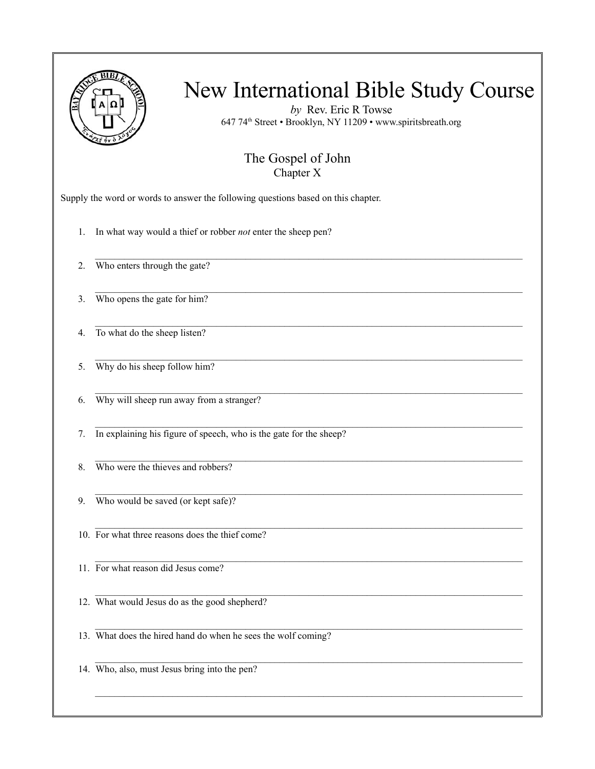

*by* Rev. Eric R Towse 647 74th Street • Brooklyn, NY 11209 • www.spiritsbreath.org

#### The Gospel of John Chapter X

 $\mathcal{L}_\mathcal{L} = \{ \mathcal{L}_\mathcal{L} = \{ \mathcal{L}_\mathcal{L} = \{ \mathcal{L}_\mathcal{L} = \{ \mathcal{L}_\mathcal{L} = \{ \mathcal{L}_\mathcal{L} = \{ \mathcal{L}_\mathcal{L} = \{ \mathcal{L}_\mathcal{L} = \{ \mathcal{L}_\mathcal{L} = \{ \mathcal{L}_\mathcal{L} = \{ \mathcal{L}_\mathcal{L} = \{ \mathcal{L}_\mathcal{L} = \{ \mathcal{L}_\mathcal{L} = \{ \mathcal{L}_\mathcal{L} = \{ \mathcal{L}_\mathcal{$ 

 $\mathcal{L}_\text{max}$ 

 $\mathcal{L}_\mathcal{L} = \{ \mathcal{L}_\mathcal{L} = \{ \mathcal{L}_\mathcal{L} = \{ \mathcal{L}_\mathcal{L} = \{ \mathcal{L}_\mathcal{L} = \{ \mathcal{L}_\mathcal{L} = \{ \mathcal{L}_\mathcal{L} = \{ \mathcal{L}_\mathcal{L} = \{ \mathcal{L}_\mathcal{L} = \{ \mathcal{L}_\mathcal{L} = \{ \mathcal{L}_\mathcal{L} = \{ \mathcal{L}_\mathcal{L} = \{ \mathcal{L}_\mathcal{L} = \{ \mathcal{L}_\mathcal{L} = \{ \mathcal{L}_\mathcal{$ 

 $\mathcal{L}_\mathcal{L} = \{ \mathcal{L}_\mathcal{L} = \{ \mathcal{L}_\mathcal{L} = \{ \mathcal{L}_\mathcal{L} = \{ \mathcal{L}_\mathcal{L} = \{ \mathcal{L}_\mathcal{L} = \{ \mathcal{L}_\mathcal{L} = \{ \mathcal{L}_\mathcal{L} = \{ \mathcal{L}_\mathcal{L} = \{ \mathcal{L}_\mathcal{L} = \{ \mathcal{L}_\mathcal{L} = \{ \mathcal{L}_\mathcal{L} = \{ \mathcal{L}_\mathcal{L} = \{ \mathcal{L}_\mathcal{L} = \{ \mathcal{L}_\mathcal{$ 

 $\mathcal{L}_\text{max}$ 

 $\mathcal{L}_\mathcal{L} = \{ \mathcal{L}_\mathcal{L} = \{ \mathcal{L}_\mathcal{L} = \{ \mathcal{L}_\mathcal{L} = \{ \mathcal{L}_\mathcal{L} = \{ \mathcal{L}_\mathcal{L} = \{ \mathcal{L}_\mathcal{L} = \{ \mathcal{L}_\mathcal{L} = \{ \mathcal{L}_\mathcal{L} = \{ \mathcal{L}_\mathcal{L} = \{ \mathcal{L}_\mathcal{L} = \{ \mathcal{L}_\mathcal{L} = \{ \mathcal{L}_\mathcal{L} = \{ \mathcal{L}_\mathcal{L} = \{ \mathcal{L}_\mathcal{$ 

 $\mathcal{L}_\mathcal{L} = \{ \mathcal{L}_\mathcal{L} = \{ \mathcal{L}_\mathcal{L} = \{ \mathcal{L}_\mathcal{L} = \{ \mathcal{L}_\mathcal{L} = \{ \mathcal{L}_\mathcal{L} = \{ \mathcal{L}_\mathcal{L} = \{ \mathcal{L}_\mathcal{L} = \{ \mathcal{L}_\mathcal{L} = \{ \mathcal{L}_\mathcal{L} = \{ \mathcal{L}_\mathcal{L} = \{ \mathcal{L}_\mathcal{L} = \{ \mathcal{L}_\mathcal{L} = \{ \mathcal{L}_\mathcal{L} = \{ \mathcal{L}_\mathcal{$ 

 $\mathcal{L}_\text{max}$ 

Supply the word or words to answer the following questions based on this chapter.

1. In what way would a thief or robber *not* enter the sheep pen?

2. Who enters through the gate?

3. Who opens the gate for him?

4. To what do the sheep listen?

5. Why do his sheep follow him?

6. Why will sheep run away from a stranger?

7. In explaining his figure of speech, who is the gate for the sheep?

8 Who were the thieves and robbers?

9. Who would be saved (or kept safe)?

10. For what three reasons does the thief come?

11. For what reason did Jesus come?

12. What would Jesus do as the good shepherd?

13. What does the hired hand do when he sees the wolf coming?

14. Who, also, must Jesus bring into the pen?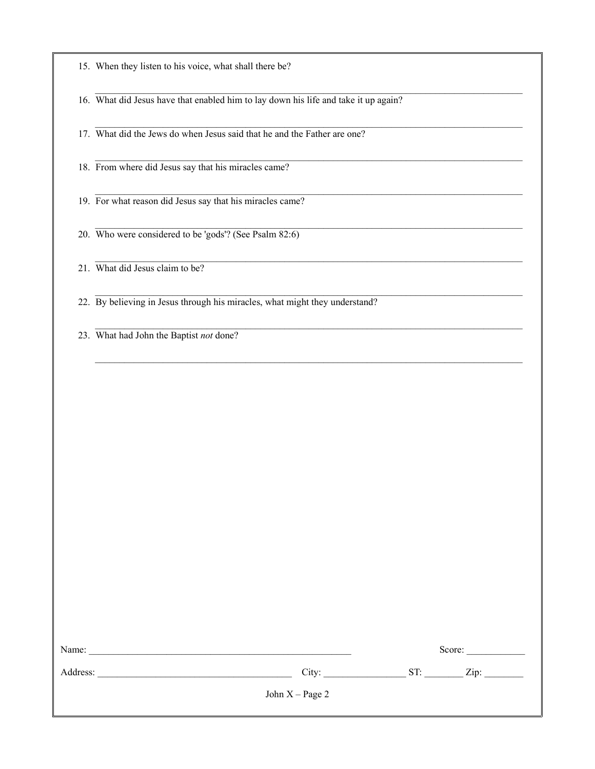$\mathcal{L}_\mathcal{L} = \{ \mathcal{L}_\mathcal{L} = \{ \mathcal{L}_\mathcal{L} = \{ \mathcal{L}_\mathcal{L} = \{ \mathcal{L}_\mathcal{L} = \{ \mathcal{L}_\mathcal{L} = \{ \mathcal{L}_\mathcal{L} = \{ \mathcal{L}_\mathcal{L} = \{ \mathcal{L}_\mathcal{L} = \{ \mathcal{L}_\mathcal{L} = \{ \mathcal{L}_\mathcal{L} = \{ \mathcal{L}_\mathcal{L} = \{ \mathcal{L}_\mathcal{L} = \{ \mathcal{L}_\mathcal{L} = \{ \mathcal{L}_\mathcal{$ 16. What did Jesus have that enabled him to lay down his life and take it up again?

 $\mathcal{L}_\mathcal{L} = \{ \mathcal{L}_\mathcal{L} = \{ \mathcal{L}_\mathcal{L} = \{ \mathcal{L}_\mathcal{L} = \{ \mathcal{L}_\mathcal{L} = \{ \mathcal{L}_\mathcal{L} = \{ \mathcal{L}_\mathcal{L} = \{ \mathcal{L}_\mathcal{L} = \{ \mathcal{L}_\mathcal{L} = \{ \mathcal{L}_\mathcal{L} = \{ \mathcal{L}_\mathcal{L} = \{ \mathcal{L}_\mathcal{L} = \{ \mathcal{L}_\mathcal{L} = \{ \mathcal{L}_\mathcal{L} = \{ \mathcal{L}_\mathcal{$ 

 $\mathcal{L}_\mathcal{L} = \{ \mathcal{L}_\mathcal{L} = \{ \mathcal{L}_\mathcal{L} = \{ \mathcal{L}_\mathcal{L} = \{ \mathcal{L}_\mathcal{L} = \{ \mathcal{L}_\mathcal{L} = \{ \mathcal{L}_\mathcal{L} = \{ \mathcal{L}_\mathcal{L} = \{ \mathcal{L}_\mathcal{L} = \{ \mathcal{L}_\mathcal{L} = \{ \mathcal{L}_\mathcal{L} = \{ \mathcal{L}_\mathcal{L} = \{ \mathcal{L}_\mathcal{L} = \{ \mathcal{L}_\mathcal{L} = \{ \mathcal{L}_\mathcal{$ 

 $\mathcal{L}_\text{max}$ 

 $\mathcal{L}_\mathcal{L} = \{ \mathcal{L}_\mathcal{L} = \{ \mathcal{L}_\mathcal{L} = \{ \mathcal{L}_\mathcal{L} = \{ \mathcal{L}_\mathcal{L} = \{ \mathcal{L}_\mathcal{L} = \{ \mathcal{L}_\mathcal{L} = \{ \mathcal{L}_\mathcal{L} = \{ \mathcal{L}_\mathcal{L} = \{ \mathcal{L}_\mathcal{L} = \{ \mathcal{L}_\mathcal{L} = \{ \mathcal{L}_\mathcal{L} = \{ \mathcal{L}_\mathcal{L} = \{ \mathcal{L}_\mathcal{L} = \{ \mathcal{L}_\mathcal{$ 

17. What did the Jews do when Jesus said that he and the Father are one?

18. From where did Jesus say that his miracles came?

19. For what reason did Jesus say that his miracles came?

20. Who were considered to be 'gods'? (See Psalm 82:6)

21. What did Jesus claim to be?

22. By believing in Jesus through his miracles, what might they understand?

23. What had John the Baptist *not* done?

| Name:    |                   | Score:      |
|----------|-------------------|-------------|
| Address: | City:             | ST:<br>Zip: |
|          | John $X - Page 2$ |             |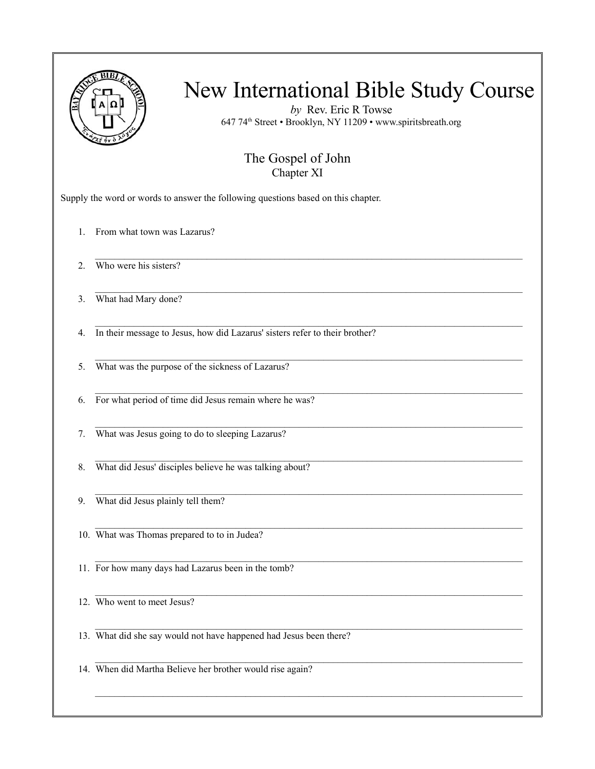

*by* Rev. Eric R Towse 647 74th Street • Brooklyn, NY 11209 • www.spiritsbreath.org

#### The Gospel of John Chapter XI

 $\mathcal{L}_\text{max}$ 

 $\mathcal{L}_\mathcal{L} = \{ \mathcal{L}_\mathcal{L} = \{ \mathcal{L}_\mathcal{L} = \{ \mathcal{L}_\mathcal{L} = \{ \mathcal{L}_\mathcal{L} = \{ \mathcal{L}_\mathcal{L} = \{ \mathcal{L}_\mathcal{L} = \{ \mathcal{L}_\mathcal{L} = \{ \mathcal{L}_\mathcal{L} = \{ \mathcal{L}_\mathcal{L} = \{ \mathcal{L}_\mathcal{L} = \{ \mathcal{L}_\mathcal{L} = \{ \mathcal{L}_\mathcal{L} = \{ \mathcal{L}_\mathcal{L} = \{ \mathcal{L}_\mathcal{$ 

 $\mathcal{L}_\text{max}$ 

 $\mathcal{L}_\text{max}$ 

Supply the word or words to answer the following questions based on this chapter.

- 1. From what town was Lazarus?
- 2. Who were his sisters?
- 3. What had Mary done?
- $\mathcal{L}_\mathcal{L} = \{ \mathcal{L}_\mathcal{L} = \{ \mathcal{L}_\mathcal{L} = \{ \mathcal{L}_\mathcal{L} = \{ \mathcal{L}_\mathcal{L} = \{ \mathcal{L}_\mathcal{L} = \{ \mathcal{L}_\mathcal{L} = \{ \mathcal{L}_\mathcal{L} = \{ \mathcal{L}_\mathcal{L} = \{ \mathcal{L}_\mathcal{L} = \{ \mathcal{L}_\mathcal{L} = \{ \mathcal{L}_\mathcal{L} = \{ \mathcal{L}_\mathcal{L} = \{ \mathcal{L}_\mathcal{L} = \{ \mathcal{L}_\mathcal{$ 4. In their message to Jesus, how did Lazarus' sisters refer to their brother?
- 5. What was the purpose of the sickness of Lazarus?
- 6. For what period of time did Jesus remain where he was?
- 7. What was Jesus going to do to sleeping Lazarus?
- $\mathcal{L}_\mathcal{L} = \{ \mathcal{L}_\mathcal{L} = \{ \mathcal{L}_\mathcal{L} = \{ \mathcal{L}_\mathcal{L} = \{ \mathcal{L}_\mathcal{L} = \{ \mathcal{L}_\mathcal{L} = \{ \mathcal{L}_\mathcal{L} = \{ \mathcal{L}_\mathcal{L} = \{ \mathcal{L}_\mathcal{L} = \{ \mathcal{L}_\mathcal{L} = \{ \mathcal{L}_\mathcal{L} = \{ \mathcal{L}_\mathcal{L} = \{ \mathcal{L}_\mathcal{L} = \{ \mathcal{L}_\mathcal{L} = \{ \mathcal{L}_\mathcal{$ 8. What did Jesus' disciples believe he was talking about?
- 9. What did Jesus plainly tell them?
- 10. What was Thomas prepared to to in Judea?
- $\mathcal{L}_\mathcal{L} = \{ \mathcal{L}_\mathcal{L} = \{ \mathcal{L}_\mathcal{L} = \{ \mathcal{L}_\mathcal{L} = \{ \mathcal{L}_\mathcal{L} = \{ \mathcal{L}_\mathcal{L} = \{ \mathcal{L}_\mathcal{L} = \{ \mathcal{L}_\mathcal{L} = \{ \mathcal{L}_\mathcal{L} = \{ \mathcal{L}_\mathcal{L} = \{ \mathcal{L}_\mathcal{L} = \{ \mathcal{L}_\mathcal{L} = \{ \mathcal{L}_\mathcal{L} = \{ \mathcal{L}_\mathcal{L} = \{ \mathcal{L}_\mathcal{$ 11. For how many days had Lazarus been in the tomb?

12. Who went to meet Jesus?

13. What did she say would not have happened had Jesus been there?

 $\mathcal{L}_\mathcal{L} = \{ \mathcal{L}_\mathcal{L} = \{ \mathcal{L}_\mathcal{L} = \{ \mathcal{L}_\mathcal{L} = \{ \mathcal{L}_\mathcal{L} = \{ \mathcal{L}_\mathcal{L} = \{ \mathcal{L}_\mathcal{L} = \{ \mathcal{L}_\mathcal{L} = \{ \mathcal{L}_\mathcal{L} = \{ \mathcal{L}_\mathcal{L} = \{ \mathcal{L}_\mathcal{L} = \{ \mathcal{L}_\mathcal{L} = \{ \mathcal{L}_\mathcal{L} = \{ \mathcal{L}_\mathcal{L} = \{ \mathcal{L}_\mathcal{$ 14. When did Martha Believe her brother would rise again?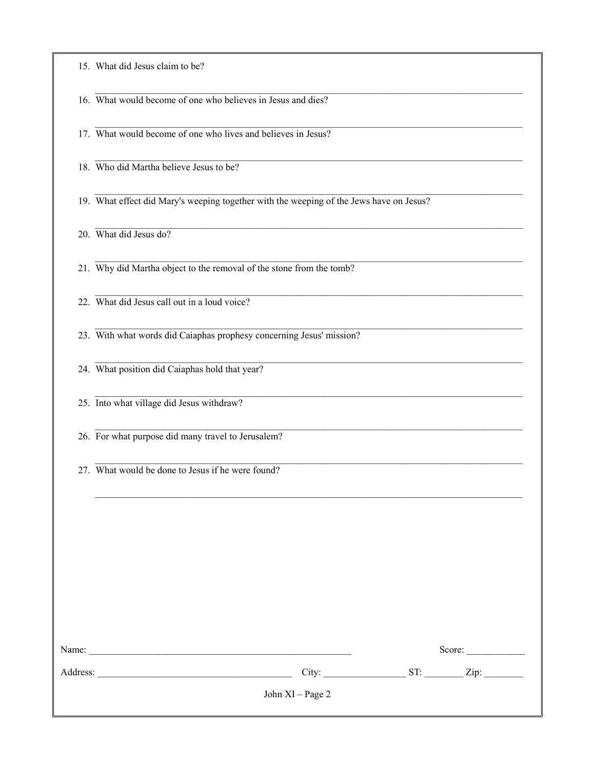| 15. What did Jesus claim to be? |  |  |  |
|---------------------------------|--|--|--|
|                                 |  |  |  |

16. What would become of one who believes in Jesus and dies?

17. What would become of one who lives and believes in Jesus?

18. Who did Martha believe Jesus to be?

19. What effect did Mary's weeping together with the weeping of the Jews have on Jesus?

20. What did Jesus do?

21. Why did Martha object to the removal of the stone from the tomb?

22. What did Jesus call out in a loud voice?

23. With what words did Caiaphas prophesy concerning Jesus' mission?

24. What position did Caiaphas hold that year?

25. Into what village did Jesus withdraw?

26. For what purpose did many travel to Jerusalem?

27. What would be done to Jesus if he were found?

| <u> 1980 - Jan Barbara, manazarta bashkar a shekara ta 1980 - An tsara tsara tsara tsara tsara tsara tsara tsara </u> |     | Score: |
|-----------------------------------------------------------------------------------------------------------------------|-----|--------|
|                                                                                                                       | ST: | Zip:   |
| John $XI - Page 2$                                                                                                    |     |        |
|                                                                                                                       |     | City:  |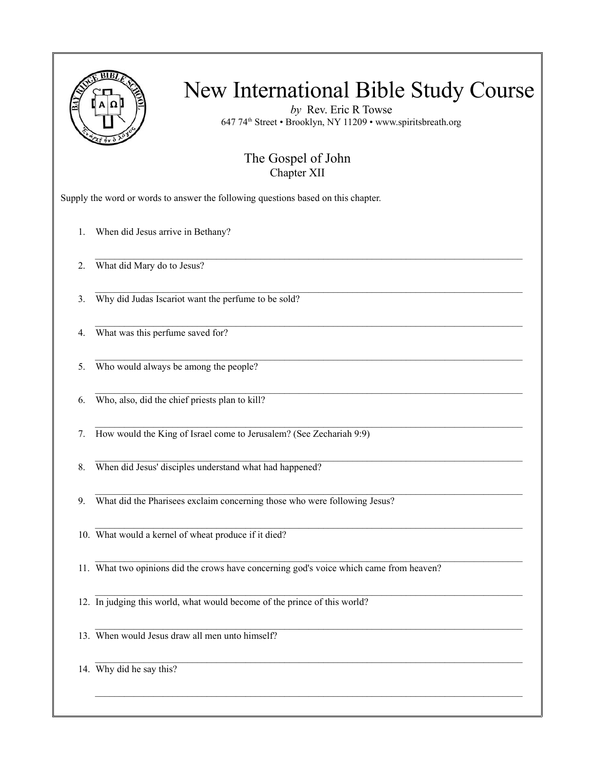

*by* Rev. Eric R Towse 647 74th Street • Brooklyn, NY 11209 • www.spiritsbreath.org

#### The Gospel of John Chapter XII

 $\mathcal{L}_\text{max}$ 

 $\mathcal{L}_\mathcal{L} = \{ \mathcal{L}_\mathcal{L} = \{ \mathcal{L}_\mathcal{L} = \{ \mathcal{L}_\mathcal{L} = \{ \mathcal{L}_\mathcal{L} = \{ \mathcal{L}_\mathcal{L} = \{ \mathcal{L}_\mathcal{L} = \{ \mathcal{L}_\mathcal{L} = \{ \mathcal{L}_\mathcal{L} = \{ \mathcal{L}_\mathcal{L} = \{ \mathcal{L}_\mathcal{L} = \{ \mathcal{L}_\mathcal{L} = \{ \mathcal{L}_\mathcal{L} = \{ \mathcal{L}_\mathcal{L} = \{ \mathcal{L}_\mathcal{$ 

 $\mathcal{L}_\mathcal{L} = \{ \mathcal{L}_\mathcal{L} = \{ \mathcal{L}_\mathcal{L} = \{ \mathcal{L}_\mathcal{L} = \{ \mathcal{L}_\mathcal{L} = \{ \mathcal{L}_\mathcal{L} = \{ \mathcal{L}_\mathcal{L} = \{ \mathcal{L}_\mathcal{L} = \{ \mathcal{L}_\mathcal{L} = \{ \mathcal{L}_\mathcal{L} = \{ \mathcal{L}_\mathcal{L} = \{ \mathcal{L}_\mathcal{L} = \{ \mathcal{L}_\mathcal{L} = \{ \mathcal{L}_\mathcal{L} = \{ \mathcal{L}_\mathcal{$ 

 $\mathcal{L}_\text{max}$ 

 $\mathcal{L}_\mathcal{L} = \{ \mathcal{L}_\mathcal{L} = \{ \mathcal{L}_\mathcal{L} = \{ \mathcal{L}_\mathcal{L} = \{ \mathcal{L}_\mathcal{L} = \{ \mathcal{L}_\mathcal{L} = \{ \mathcal{L}_\mathcal{L} = \{ \mathcal{L}_\mathcal{L} = \{ \mathcal{L}_\mathcal{L} = \{ \mathcal{L}_\mathcal{L} = \{ \mathcal{L}_\mathcal{L} = \{ \mathcal{L}_\mathcal{L} = \{ \mathcal{L}_\mathcal{L} = \{ \mathcal{L}_\mathcal{L} = \{ \mathcal{L}_\mathcal{$ 

 $\mathcal{L}_\mathcal{L} = \{ \mathcal{L}_\mathcal{L} = \{ \mathcal{L}_\mathcal{L} = \{ \mathcal{L}_\mathcal{L} = \{ \mathcal{L}_\mathcal{L} = \{ \mathcal{L}_\mathcal{L} = \{ \mathcal{L}_\mathcal{L} = \{ \mathcal{L}_\mathcal{L} = \{ \mathcal{L}_\mathcal{L} = \{ \mathcal{L}_\mathcal{L} = \{ \mathcal{L}_\mathcal{L} = \{ \mathcal{L}_\mathcal{L} = \{ \mathcal{L}_\mathcal{L} = \{ \mathcal{L}_\mathcal{L} = \{ \mathcal{L}_\mathcal{$ 

 $\mathcal{L}_\text{max}$ 

Supply the word or words to answer the following questions based on this chapter.

1. When did Jesus arrive in Bethany?

2. What did Mary do to Jesus?

3. Why did Judas Iscariot want the perfume to be sold?

 $\mathcal{L}_\mathcal{L} = \{ \mathcal{L}_\mathcal{L} = \{ \mathcal{L}_\mathcal{L} = \{ \mathcal{L}_\mathcal{L} = \{ \mathcal{L}_\mathcal{L} = \{ \mathcal{L}_\mathcal{L} = \{ \mathcal{L}_\mathcal{L} = \{ \mathcal{L}_\mathcal{L} = \{ \mathcal{L}_\mathcal{L} = \{ \mathcal{L}_\mathcal{L} = \{ \mathcal{L}_\mathcal{L} = \{ \mathcal{L}_\mathcal{L} = \{ \mathcal{L}_\mathcal{L} = \{ \mathcal{L}_\mathcal{L} = \{ \mathcal{L}_\mathcal{$ 4. What was this perfume saved for?

5. Who would always be among the people?

6. Who, also, did the chief priests plan to kill?

7. How would the King of Israel come to Jerusalem? (See Zechariah 9:9)

8. When did Jesus' disciples understand what had happened?

9. What did the Pharisees exclaim concerning those who were following Jesus?

10. What would a kernel of wheat produce if it died?

11. What two opinions did the crows have concerning god's voice which came from heaven?

12. In judging this world, what would become of the prince of this world?

13. When would Jesus draw all men unto himself?

14. Why did he say this?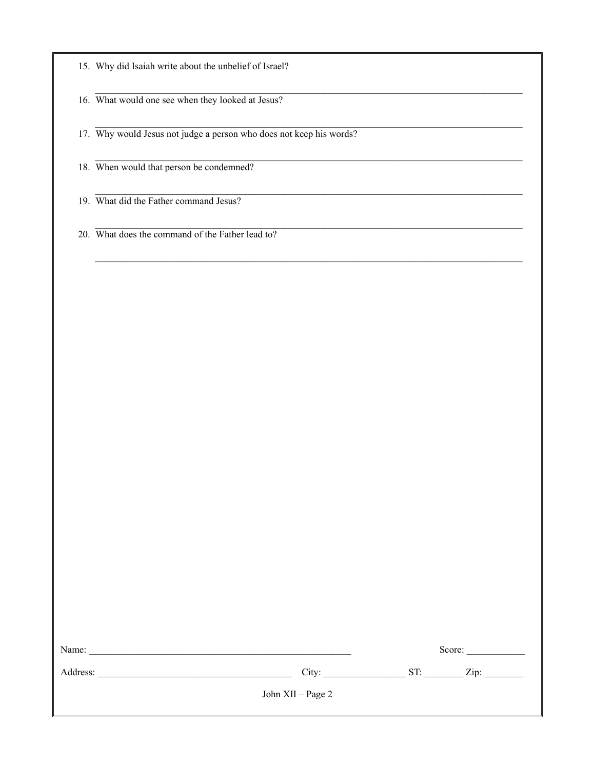|  |  |  |  |  |  |  | 15. Why did Isaiah write about the unbelief of Israel? |
|--|--|--|--|--|--|--|--------------------------------------------------------|
|--|--|--|--|--|--|--|--------------------------------------------------------|

16. What would one see when they looked at Jesus?

17. Why would Jesus not judge a person who does not keep his words?

18. When would that person be condemned?

19. What did the Father command Jesus?

20. What does the command of the Father lead to?

| Name:    |                   | Score: |      |
|----------|-------------------|--------|------|
| Address: | City:             | ST:    | Zip: |
|          | John XII - Page 2 |        |      |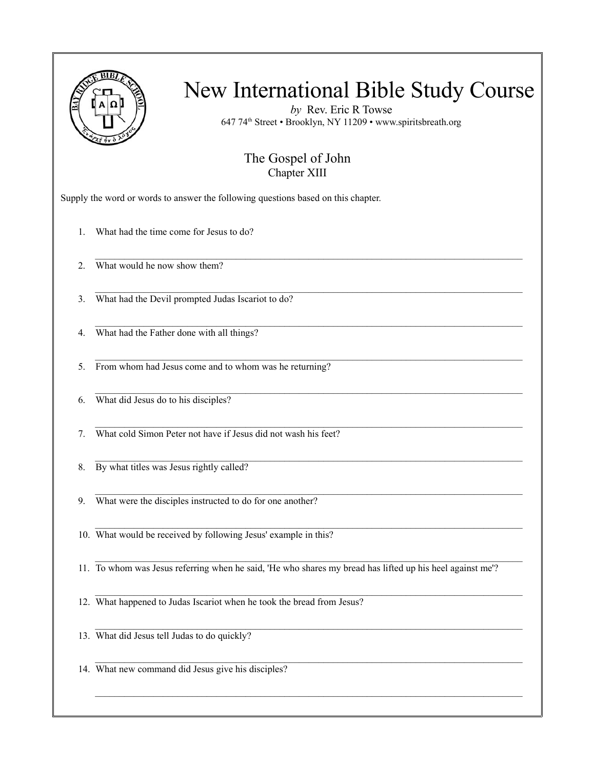

*by* Rev. Eric R Towse 647 74th Street • Brooklyn, NY 11209 • www.spiritsbreath.org

#### The Gospel of John Chapter XIII

 $\mathcal{L}_\text{max}$ 

 $\mathcal{L}_\mathcal{L} = \{ \mathcal{L}_\mathcal{L} = \{ \mathcal{L}_\mathcal{L} = \{ \mathcal{L}_\mathcal{L} = \{ \mathcal{L}_\mathcal{L} = \{ \mathcal{L}_\mathcal{L} = \{ \mathcal{L}_\mathcal{L} = \{ \mathcal{L}_\mathcal{L} = \{ \mathcal{L}_\mathcal{L} = \{ \mathcal{L}_\mathcal{L} = \{ \mathcal{L}_\mathcal{L} = \{ \mathcal{L}_\mathcal{L} = \{ \mathcal{L}_\mathcal{L} = \{ \mathcal{L}_\mathcal{L} = \{ \mathcal{L}_\mathcal{$ 

 $\mathcal{L}_\mathcal{L} = \{ \mathcal{L}_\mathcal{L} = \{ \mathcal{L}_\mathcal{L} = \{ \mathcal{L}_\mathcal{L} = \{ \mathcal{L}_\mathcal{L} = \{ \mathcal{L}_\mathcal{L} = \{ \mathcal{L}_\mathcal{L} = \{ \mathcal{L}_\mathcal{L} = \{ \mathcal{L}_\mathcal{L} = \{ \mathcal{L}_\mathcal{L} = \{ \mathcal{L}_\mathcal{L} = \{ \mathcal{L}_\mathcal{L} = \{ \mathcal{L}_\mathcal{L} = \{ \mathcal{L}_\mathcal{L} = \{ \mathcal{L}_\mathcal{$ 

 $\mathcal{L}_\text{max}$ 

 $\mathcal{L}_\mathcal{L} = \{ \mathcal{L}_\mathcal{L} = \{ \mathcal{L}_\mathcal{L} = \{ \mathcal{L}_\mathcal{L} = \{ \mathcal{L}_\mathcal{L} = \{ \mathcal{L}_\mathcal{L} = \{ \mathcal{L}_\mathcal{L} = \{ \mathcal{L}_\mathcal{L} = \{ \mathcal{L}_\mathcal{L} = \{ \mathcal{L}_\mathcal{L} = \{ \mathcal{L}_\mathcal{L} = \{ \mathcal{L}_\mathcal{L} = \{ \mathcal{L}_\mathcal{L} = \{ \mathcal{L}_\mathcal{L} = \{ \mathcal{L}_\mathcal{$ 

 $\mathcal{L}_\text{max}$ 

Supply the word or words to answer the following questions based on this chapter.

1. What had the time come for Jesus to do?

2. What would he now show them?

3. What had the Devil prompted Judas Iscariot to do?

 $\mathcal{L}_\mathcal{L} = \{ \mathcal{L}_\mathcal{L} = \{ \mathcal{L}_\mathcal{L} = \{ \mathcal{L}_\mathcal{L} = \{ \mathcal{L}_\mathcal{L} = \{ \mathcal{L}_\mathcal{L} = \{ \mathcal{L}_\mathcal{L} = \{ \mathcal{L}_\mathcal{L} = \{ \mathcal{L}_\mathcal{L} = \{ \mathcal{L}_\mathcal{L} = \{ \mathcal{L}_\mathcal{L} = \{ \mathcal{L}_\mathcal{L} = \{ \mathcal{L}_\mathcal{L} = \{ \mathcal{L}_\mathcal{L} = \{ \mathcal{L}_\mathcal{$ 4. What had the Father done with all things?

5. From whom had Jesus come and to whom was he returning?

6. What did Jesus do to his disciples?

7. What cold Simon Peter not have if Jesus did not wash his feet?

8. By what titles was Jesus rightly called?

9. What were the disciples instructed to do for one another?

10. What would be received by following Jesus' example in this?

11. To whom was Jesus referring when he said, 'He who shares my bread has lifted up his heel against me'?

12. What happened to Judas Iscariot when he took the bread from Jesus?

13. What did Jesus tell Judas to do quickly?

 $\mathcal{L}_\mathcal{L} = \{ \mathcal{L}_\mathcal{L} = \{ \mathcal{L}_\mathcal{L} = \{ \mathcal{L}_\mathcal{L} = \{ \mathcal{L}_\mathcal{L} = \{ \mathcal{L}_\mathcal{L} = \{ \mathcal{L}_\mathcal{L} = \{ \mathcal{L}_\mathcal{L} = \{ \mathcal{L}_\mathcal{L} = \{ \mathcal{L}_\mathcal{L} = \{ \mathcal{L}_\mathcal{L} = \{ \mathcal{L}_\mathcal{L} = \{ \mathcal{L}_\mathcal{L} = \{ \mathcal{L}_\mathcal{L} = \{ \mathcal{L}_\mathcal{$ 14. What new command did Jesus give his disciples?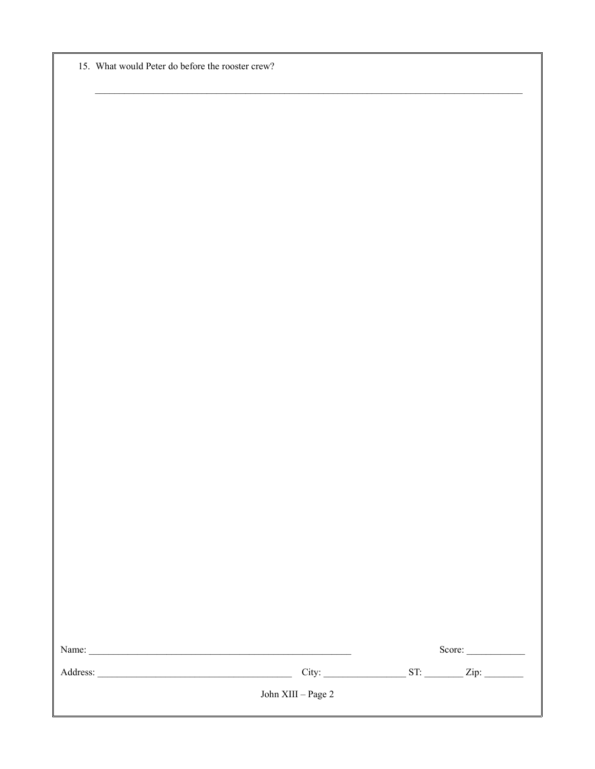|  | 15. What would Peter do before the rooster crew? |  |  |  |  |
|--|--------------------------------------------------|--|--|--|--|
|--|--------------------------------------------------|--|--|--|--|

|                       | Score: |
|-----------------------|--------|
|                       |        |
| John XIII -- Page $2$ |        |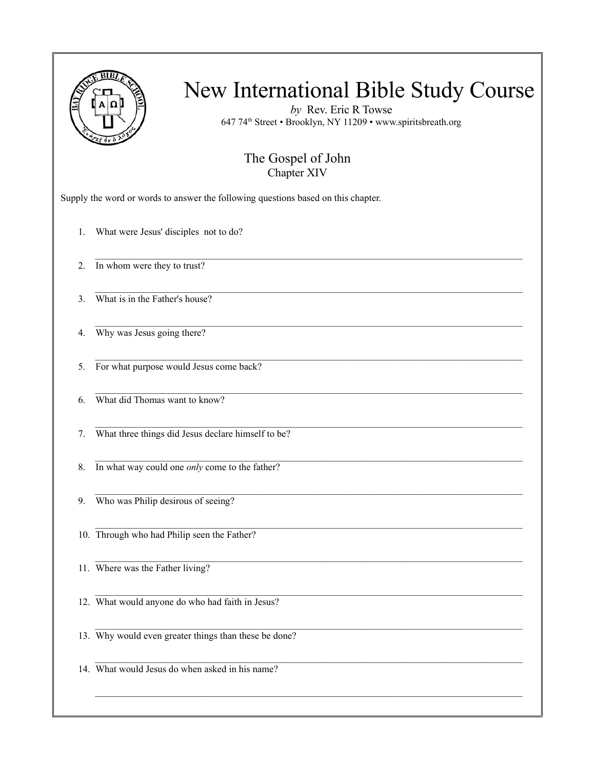

*by* Rev. Eric R Towse 647 74th Street • Brooklyn, NY 11209 • www.spiritsbreath.org

#### The Gospel of John Chapter XIV

 $\mathcal{L}_\mathcal{L} = \{ \mathcal{L}_\mathcal{L} = \{ \mathcal{L}_\mathcal{L} = \{ \mathcal{L}_\mathcal{L} = \{ \mathcal{L}_\mathcal{L} = \{ \mathcal{L}_\mathcal{L} = \{ \mathcal{L}_\mathcal{L} = \{ \mathcal{L}_\mathcal{L} = \{ \mathcal{L}_\mathcal{L} = \{ \mathcal{L}_\mathcal{L} = \{ \mathcal{L}_\mathcal{L} = \{ \mathcal{L}_\mathcal{L} = \{ \mathcal{L}_\mathcal{L} = \{ \mathcal{L}_\mathcal{L} = \{ \mathcal{L}_\mathcal{$ 

 $\mathcal{L}_\text{max}$ 

 $\mathcal{L}_\mathcal{L} = \{ \mathcal{L}_\mathcal{L} = \{ \mathcal{L}_\mathcal{L} = \{ \mathcal{L}_\mathcal{L} = \{ \mathcal{L}_\mathcal{L} = \{ \mathcal{L}_\mathcal{L} = \{ \mathcal{L}_\mathcal{L} = \{ \mathcal{L}_\mathcal{L} = \{ \mathcal{L}_\mathcal{L} = \{ \mathcal{L}_\mathcal{L} = \{ \mathcal{L}_\mathcal{L} = \{ \mathcal{L}_\mathcal{L} = \{ \mathcal{L}_\mathcal{L} = \{ \mathcal{L}_\mathcal{L} = \{ \mathcal{L}_\mathcal{$ 

 $\mathcal{L}_\mathcal{L} = \{ \mathcal{L}_\mathcal{L} = \{ \mathcal{L}_\mathcal{L} = \{ \mathcal{L}_\mathcal{L} = \{ \mathcal{L}_\mathcal{L} = \{ \mathcal{L}_\mathcal{L} = \{ \mathcal{L}_\mathcal{L} = \{ \mathcal{L}_\mathcal{L} = \{ \mathcal{L}_\mathcal{L} = \{ \mathcal{L}_\mathcal{L} = \{ \mathcal{L}_\mathcal{L} = \{ \mathcal{L}_\mathcal{L} = \{ \mathcal{L}_\mathcal{L} = \{ \mathcal{L}_\mathcal{L} = \{ \mathcal{L}_\mathcal{$ 

 $\mathcal{L}_\text{max}$ 

 $\mathcal{L}_\mathcal{L} = \{ \mathcal{L}_\mathcal{L} = \{ \mathcal{L}_\mathcal{L} = \{ \mathcal{L}_\mathcal{L} = \{ \mathcal{L}_\mathcal{L} = \{ \mathcal{L}_\mathcal{L} = \{ \mathcal{L}_\mathcal{L} = \{ \mathcal{L}_\mathcal{L} = \{ \mathcal{L}_\mathcal{L} = \{ \mathcal{L}_\mathcal{L} = \{ \mathcal{L}_\mathcal{L} = \{ \mathcal{L}_\mathcal{L} = \{ \mathcal{L}_\mathcal{L} = \{ \mathcal{L}_\mathcal{L} = \{ \mathcal{L}_\mathcal{$ 

 $\mathcal{L}_\mathcal{L} = \{ \mathcal{L}_\mathcal{L} = \{ \mathcal{L}_\mathcal{L} = \{ \mathcal{L}_\mathcal{L} = \{ \mathcal{L}_\mathcal{L} = \{ \mathcal{L}_\mathcal{L} = \{ \mathcal{L}_\mathcal{L} = \{ \mathcal{L}_\mathcal{L} = \{ \mathcal{L}_\mathcal{L} = \{ \mathcal{L}_\mathcal{L} = \{ \mathcal{L}_\mathcal{L} = \{ \mathcal{L}_\mathcal{L} = \{ \mathcal{L}_\mathcal{L} = \{ \mathcal{L}_\mathcal{L} = \{ \mathcal{L}_\mathcal{$ 

 $\mathcal{L}_\text{max}$ 

Supply the word or words to answer the following questions based on this chapter.

1. What were Jesus' disciples not to do?

2. In whom were they to trust?

3. What is in the Father's house?

4. Why was Jesus going there?

5. For what purpose would Jesus come back?

6. What did Thomas want to know?

7. What three things did Jesus declare himself to be?

8. In what way could one *only* come to the father?

9. Who was Philip desirous of seeing?

10. Through who had Philip seen the Father?

11. Where was the Father living?

12. What would anyone do who had faith in Jesus?

13. Why would even greater things than these be done?

14. What would Jesus do when asked in his name?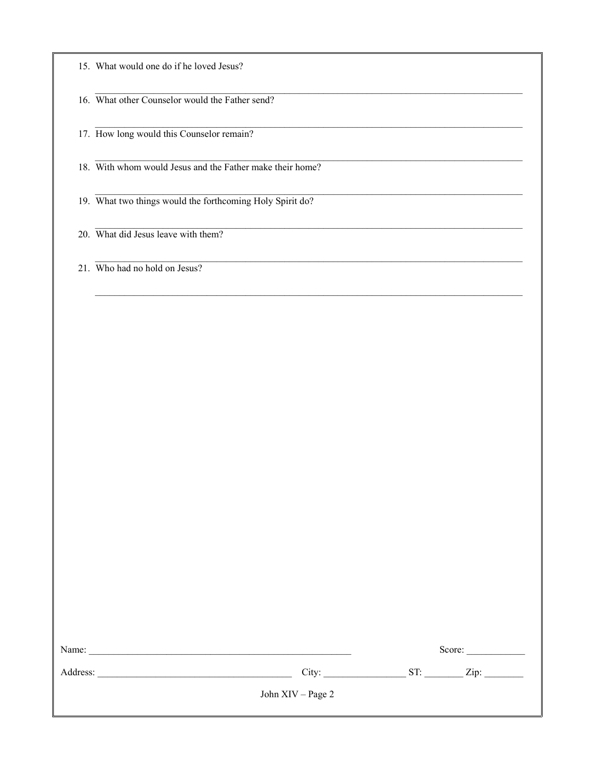|  |  |  | 15. What would one do if he loved Jesus? |
|--|--|--|------------------------------------------|
|  |  |  |                                          |

16. What other Counselor would the Father send?

17. How long would this Counselor remain?

18. With whom would Jesus and the Father make their home?

19. What two things would the forthcoming Holy Spirit do?

20. What did Jesus leave with them?

21. Who had no hold on Jesus?

| Name:    |                   | Score:<br>ST: |      |  |
|----------|-------------------|---------------|------|--|
| Address: | City:             |               | Zip: |  |
|          | John XIV – Page 2 |               |      |  |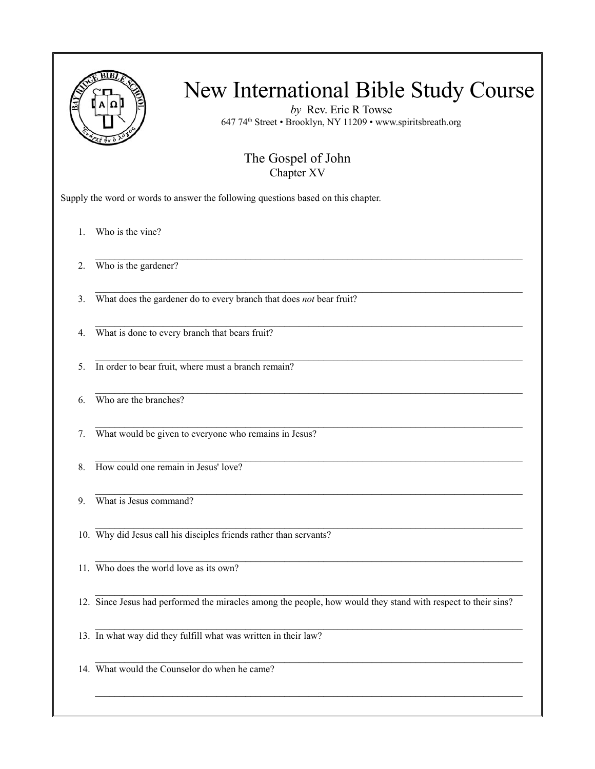|    | New International Bible Study Course<br>by Rev. Eric R Towse<br>647 74th Street · Brooklyn, NY 11209 · www.spiritsbreath.org<br>The Gospel of John<br>Chapter XV |
|----|------------------------------------------------------------------------------------------------------------------------------------------------------------------|
|    | Supply the word or words to answer the following questions based on this chapter.                                                                                |
| 1. | Who is the vine?                                                                                                                                                 |
| 2. | Who is the gardener?                                                                                                                                             |
| 3. | What does the gardener do to every branch that does not bear fruit?                                                                                              |
| 4. | What is done to every branch that bears fruit?                                                                                                                   |
| 5. | In order to bear fruit, where must a branch remain?                                                                                                              |
| 6. | Who are the branches?                                                                                                                                            |
| 7. | What would be given to everyone who remains in Jesus?                                                                                                            |
| 8. | How could one remain in Jesus' love?                                                                                                                             |
| 9. | What is Jesus command?                                                                                                                                           |
|    | 10. Why did Jesus call his disciples friends rather than servants?                                                                                               |
|    | 11. Who does the world love as its own?                                                                                                                          |
|    | 12. Since Jesus had performed the miracles among the people, how would they stand with respect to their sins?                                                    |
|    | 13. In what way did they fulfill what was written in their law?                                                                                                  |
|    | 14. What would the Counselor do when he came?                                                                                                                    |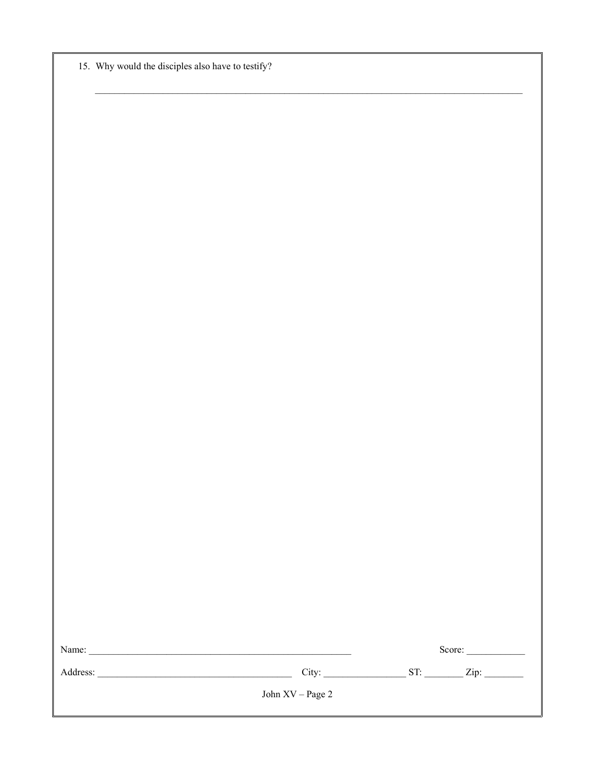|  |  | 15. Why would the disciples also have to testify? |  |  |
|--|--|---------------------------------------------------|--|--|
|--|--|---------------------------------------------------|--|--|

|                    |  |  |  | Score: |  |
|--------------------|--|--|--|--------|--|
|                    |  |  |  |        |  |
| John $XV - Page 2$ |  |  |  |        |  |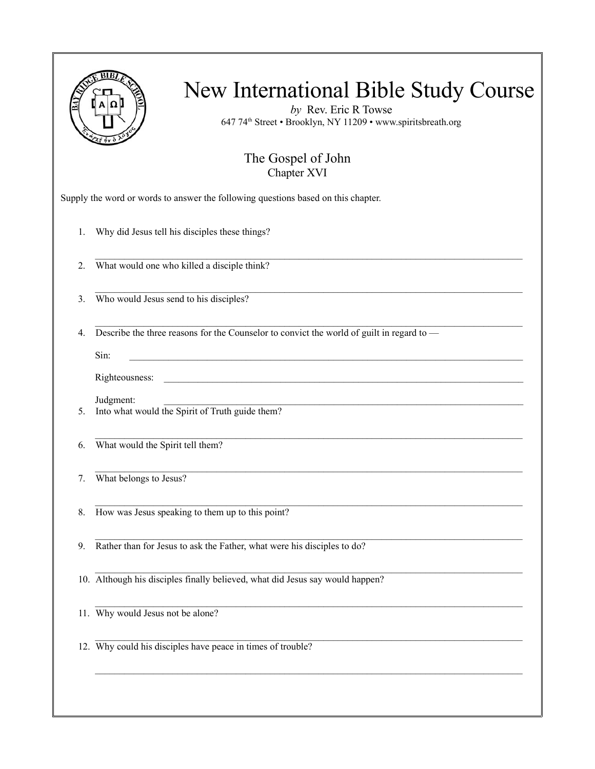|    | New International Bible Study Course<br>by Rev. Eric R Towse<br>647 74th Street · Brooklyn, NY 11209 · www.spiritsbreath.org |
|----|------------------------------------------------------------------------------------------------------------------------------|
|    | The Gospel of John<br>Chapter XVI                                                                                            |
|    | Supply the word or words to answer the following questions based on this chapter.                                            |
| 1. | Why did Jesus tell his disciples these things?                                                                               |
| 2. | What would one who killed a disciple think?                                                                                  |
| 3. | Who would Jesus send to his disciples?                                                                                       |
| 4. | Describe the three reasons for the Counselor to convict the world of guilt in regard to -<br>Sin:<br>Righteousness:          |
| 5. | Judgment:<br>Into what would the Spirit of Truth guide them?                                                                 |
| 6. | What would the Spirit tell them?                                                                                             |
| 7. | What belongs to Jesus?                                                                                                       |
| 8. | How was Jesus speaking to them up to this point?                                                                             |
| 9. | Rather than for Jesus to ask the Father, what were his disciples to do?                                                      |
|    | 10. Although his disciples finally believed, what did Jesus say would happen?                                                |
|    | 11. Why would Jesus not be alone?                                                                                            |
|    | 12. Why could his disciples have peace in times of trouble?                                                                  |
|    |                                                                                                                              |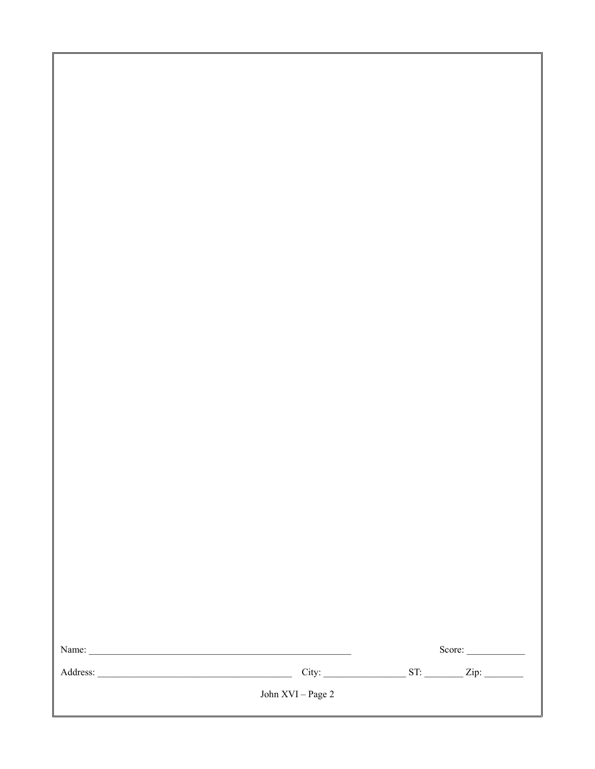|  | Score: |
|--|--------|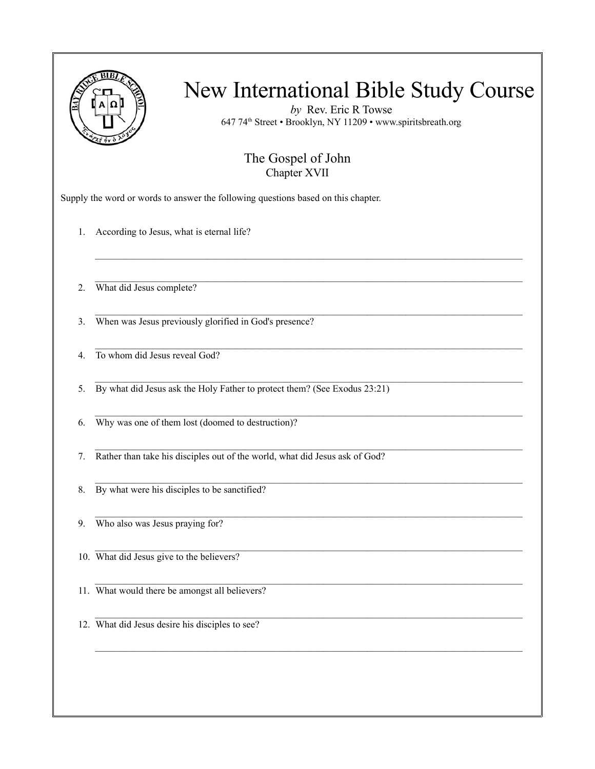

*by* Rev. Eric R Towse 647 74th Street • Brooklyn, NY 11209 • www.spiritsbreath.org

#### The Gospel of John Chapter XVII

 $\mathcal{L}_\mathcal{L} = \{ \mathcal{L}_\mathcal{L} = \{ \mathcal{L}_\mathcal{L} = \{ \mathcal{L}_\mathcal{L} = \{ \mathcal{L}_\mathcal{L} = \{ \mathcal{L}_\mathcal{L} = \{ \mathcal{L}_\mathcal{L} = \{ \mathcal{L}_\mathcal{L} = \{ \mathcal{L}_\mathcal{L} = \{ \mathcal{L}_\mathcal{L} = \{ \mathcal{L}_\mathcal{L} = \{ \mathcal{L}_\mathcal{L} = \{ \mathcal{L}_\mathcal{L} = \{ \mathcal{L}_\mathcal{L} = \{ \mathcal{L}_\mathcal{$ 

 $\mathcal{L}_\mathcal{L} = \{ \mathcal{L}_\mathcal{L} = \{ \mathcal{L}_\mathcal{L} = \{ \mathcal{L}_\mathcal{L} = \{ \mathcal{L}_\mathcal{L} = \{ \mathcal{L}_\mathcal{L} = \{ \mathcal{L}_\mathcal{L} = \{ \mathcal{L}_\mathcal{L} = \{ \mathcal{L}_\mathcal{L} = \{ \mathcal{L}_\mathcal{L} = \{ \mathcal{L}_\mathcal{L} = \{ \mathcal{L}_\mathcal{L} = \{ \mathcal{L}_\mathcal{L} = \{ \mathcal{L}_\mathcal{L} = \{ \mathcal{L}_\mathcal{$ 

Supply the word or words to answer the following questions based on this chapter.

1. According to Jesus, what is eternal life?

2. What did Jesus complete?

3. When was Jesus previously glorified in God's presence?

 $\mathcal{L}_\mathcal{L} = \{ \mathcal{L}_\mathcal{L} = \{ \mathcal{L}_\mathcal{L} = \{ \mathcal{L}_\mathcal{L} = \{ \mathcal{L}_\mathcal{L} = \{ \mathcal{L}_\mathcal{L} = \{ \mathcal{L}_\mathcal{L} = \{ \mathcal{L}_\mathcal{L} = \{ \mathcal{L}_\mathcal{L} = \{ \mathcal{L}_\mathcal{L} = \{ \mathcal{L}_\mathcal{L} = \{ \mathcal{L}_\mathcal{L} = \{ \mathcal{L}_\mathcal{L} = \{ \mathcal{L}_\mathcal{L} = \{ \mathcal{L}_\mathcal{$ 4. To whom did Jesus reveal God?

5. By what did Jesus ask the Holy Father to protect them? (See Exodus 23:21)

 $\mathcal{L}_\text{max}$ 6. Why was one of them lost (doomed to destruction)?

 $\mathcal{L}_\mathcal{L} = \{ \mathcal{L}_\mathcal{L} = \{ \mathcal{L}_\mathcal{L} = \{ \mathcal{L}_\mathcal{L} = \{ \mathcal{L}_\mathcal{L} = \{ \mathcal{L}_\mathcal{L} = \{ \mathcal{L}_\mathcal{L} = \{ \mathcal{L}_\mathcal{L} = \{ \mathcal{L}_\mathcal{L} = \{ \mathcal{L}_\mathcal{L} = \{ \mathcal{L}_\mathcal{L} = \{ \mathcal{L}_\mathcal{L} = \{ \mathcal{L}_\mathcal{L} = \{ \mathcal{L}_\mathcal{L} = \{ \mathcal{L}_\mathcal{$ 7. Rather than take his disciples out of the world, what did Jesus ask of God?

8. By what were his disciples to be sanctified?

9. Who also was Jesus praying for?

10. What did Jesus give to the believers?

 $\mathcal{L}_\text{max}$ 11. What would there be amongst all believers?

12. What did Jesus desire his disciples to see?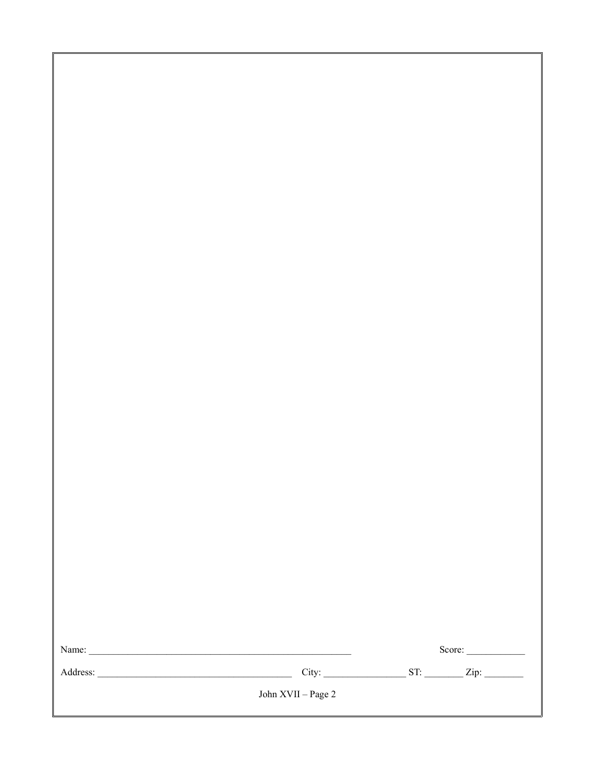|  |  | $\text{Score:}\_$ |
|--|--|-------------------|
|  |  |                   |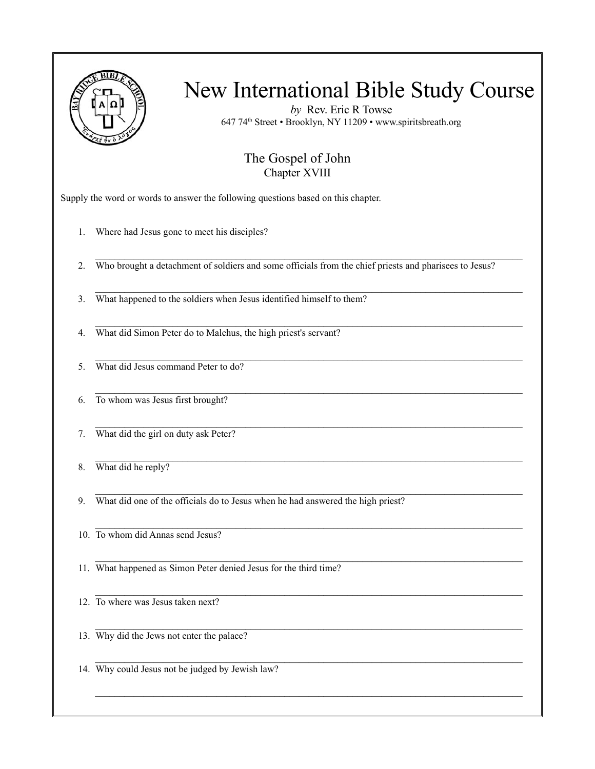

*by* Rev. Eric R Towse 647 74th Street • Brooklyn, NY 11209 • www.spiritsbreath.org

#### The Gospel of John Chapter XVIII

Supply the word or words to answer the following questions based on this chapter.

- 1. Where had Jesus gone to meet his disciples?
- 2. Who brought a detachment of soldiers and some officials from the chief priests and pharisees to Jesus?

 $\mathcal{L}_\text{max}$ 

 $\mathcal{L}_\mathcal{L} = \{ \mathcal{L}_\mathcal{L} = \{ \mathcal{L}_\mathcal{L} = \{ \mathcal{L}_\mathcal{L} = \{ \mathcal{L}_\mathcal{L} = \{ \mathcal{L}_\mathcal{L} = \{ \mathcal{L}_\mathcal{L} = \{ \mathcal{L}_\mathcal{L} = \{ \mathcal{L}_\mathcal{L} = \{ \mathcal{L}_\mathcal{L} = \{ \mathcal{L}_\mathcal{L} = \{ \mathcal{L}_\mathcal{L} = \{ \mathcal{L}_\mathcal{L} = \{ \mathcal{L}_\mathcal{L} = \{ \mathcal{L}_\mathcal{$ 

 $\mathcal{L}_\mathcal{L} = \{ \mathcal{L}_\mathcal{L} = \{ \mathcal{L}_\mathcal{L} = \{ \mathcal{L}_\mathcal{L} = \{ \mathcal{L}_\mathcal{L} = \{ \mathcal{L}_\mathcal{L} = \{ \mathcal{L}_\mathcal{L} = \{ \mathcal{L}_\mathcal{L} = \{ \mathcal{L}_\mathcal{L} = \{ \mathcal{L}_\mathcal{L} = \{ \mathcal{L}_\mathcal{L} = \{ \mathcal{L}_\mathcal{L} = \{ \mathcal{L}_\mathcal{L} = \{ \mathcal{L}_\mathcal{L} = \{ \mathcal{L}_\mathcal{$ 

 $\mathcal{L}_\text{max}$ 

 $\mathcal{L}_\mathcal{L} = \{ \mathcal{L}_\mathcal{L} = \{ \mathcal{L}_\mathcal{L} = \{ \mathcal{L}_\mathcal{L} = \{ \mathcal{L}_\mathcal{L} = \{ \mathcal{L}_\mathcal{L} = \{ \mathcal{L}_\mathcal{L} = \{ \mathcal{L}_\mathcal{L} = \{ \mathcal{L}_\mathcal{L} = \{ \mathcal{L}_\mathcal{L} = \{ \mathcal{L}_\mathcal{L} = \{ \mathcal{L}_\mathcal{L} = \{ \mathcal{L}_\mathcal{L} = \{ \mathcal{L}_\mathcal{L} = \{ \mathcal{L}_\mathcal{$ 

 $\mathcal{L}_\text{max}$ 

- 3. What happened to the soldiers when Jesus identified himself to them?
- $\mathcal{L}_\mathcal{L} = \{ \mathcal{L}_\mathcal{L} = \{ \mathcal{L}_\mathcal{L} = \{ \mathcal{L}_\mathcal{L} = \{ \mathcal{L}_\mathcal{L} = \{ \mathcal{L}_\mathcal{L} = \{ \mathcal{L}_\mathcal{L} = \{ \mathcal{L}_\mathcal{L} = \{ \mathcal{L}_\mathcal{L} = \{ \mathcal{L}_\mathcal{L} = \{ \mathcal{L}_\mathcal{L} = \{ \mathcal{L}_\mathcal{L} = \{ \mathcal{L}_\mathcal{L} = \{ \mathcal{L}_\mathcal{L} = \{ \mathcal{L}_\mathcal{$ 4. What did Simon Peter do to Malchus, the high priest's servant?
- 5. What did Jesus command Peter to do?
- 6. To whom was Jesus first brought?
- 7. What did the girl on duty ask Peter?
- 8. What did he reply?
- 9. What did one of the officials do to Jesus when he had answered the high priest?
- 10. To whom did Annas send Jesus?
- 11. What happened as Simon Peter denied Jesus for the third time?
- 12. To where was Jesus taken next?
- 13. Why did the Jews not enter the palace?
- $\mathcal{L}_\mathcal{L} = \{ \mathcal{L}_\mathcal{L} = \{ \mathcal{L}_\mathcal{L} = \{ \mathcal{L}_\mathcal{L} = \{ \mathcal{L}_\mathcal{L} = \{ \mathcal{L}_\mathcal{L} = \{ \mathcal{L}_\mathcal{L} = \{ \mathcal{L}_\mathcal{L} = \{ \mathcal{L}_\mathcal{L} = \{ \mathcal{L}_\mathcal{L} = \{ \mathcal{L}_\mathcal{L} = \{ \mathcal{L}_\mathcal{L} = \{ \mathcal{L}_\mathcal{L} = \{ \mathcal{L}_\mathcal{L} = \{ \mathcal{L}_\mathcal{$ 14. Why could Jesus not be judged by Jewish law?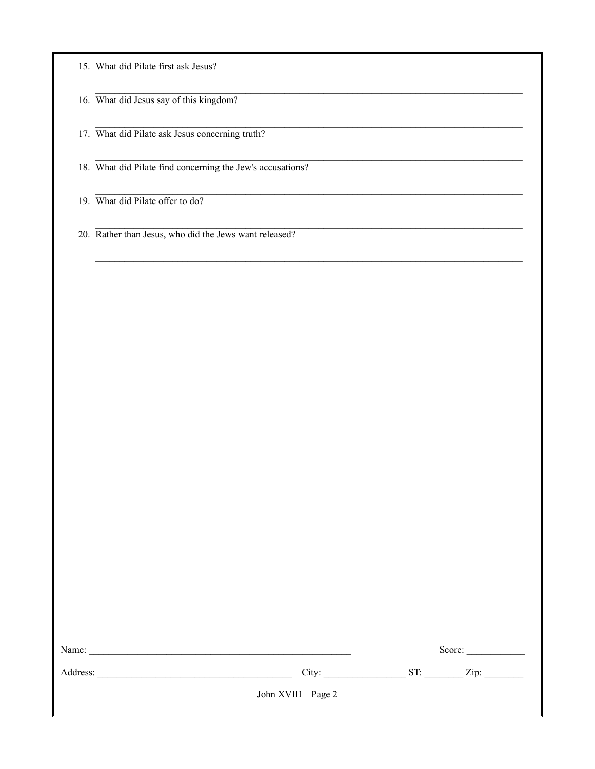|  |  |  |  |  |  |  | 15. What did Pilate first ask Jesus? |
|--|--|--|--|--|--|--|--------------------------------------|
|--|--|--|--|--|--|--|--------------------------------------|

16. What did Jesus say of this kingdom?

17. What did Pilate ask Jesus concerning truth?

18. What did Pilate find concerning the Jew's accusations?

19. What did Pilate offer to do?

20. Rather than Jesus, who did the Jews want released?

| Name:    |                     | Score: |                    |  |
|----------|---------------------|--------|--------------------|--|
| Address: | City:               | ST:    | $\overline{Lip}$ : |  |
|          | John XVIII – Page 2 |        |                    |  |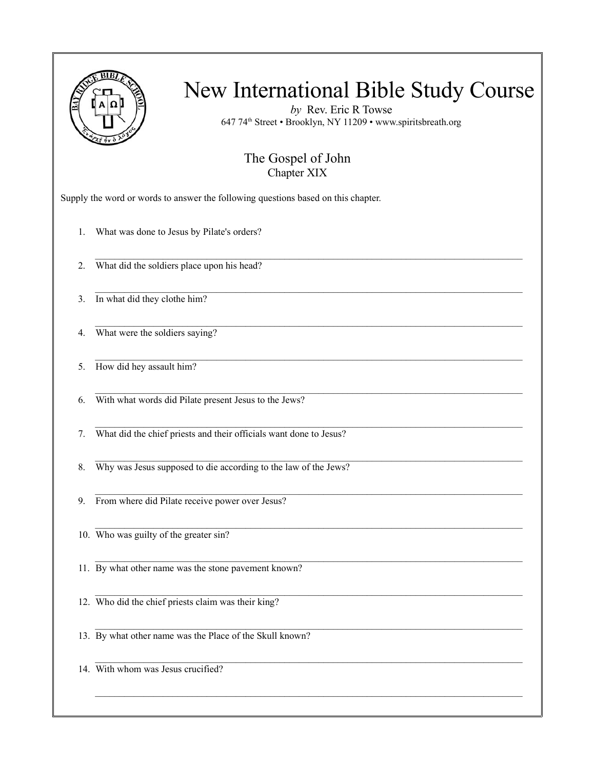

*by* Rev. Eric R Towse 647 74th Street • Brooklyn, NY 11209 • www.spiritsbreath.org

#### The Gospel of John Chapter XIX

 $\mathcal{L}_\mathcal{L} = \{ \mathcal{L}_\mathcal{L} = \{ \mathcal{L}_\mathcal{L} = \{ \mathcal{L}_\mathcal{L} = \{ \mathcal{L}_\mathcal{L} = \{ \mathcal{L}_\mathcal{L} = \{ \mathcal{L}_\mathcal{L} = \{ \mathcal{L}_\mathcal{L} = \{ \mathcal{L}_\mathcal{L} = \{ \mathcal{L}_\mathcal{L} = \{ \mathcal{L}_\mathcal{L} = \{ \mathcal{L}_\mathcal{L} = \{ \mathcal{L}_\mathcal{L} = \{ \mathcal{L}_\mathcal{L} = \{ \mathcal{L}_\mathcal{$ 

 $\mathcal{L}_\text{max}$ 

 $\mathcal{L}_\mathcal{L} = \{ \mathcal{L}_\mathcal{L} = \{ \mathcal{L}_\mathcal{L} = \{ \mathcal{L}_\mathcal{L} = \{ \mathcal{L}_\mathcal{L} = \{ \mathcal{L}_\mathcal{L} = \{ \mathcal{L}_\mathcal{L} = \{ \mathcal{L}_\mathcal{L} = \{ \mathcal{L}_\mathcal{L} = \{ \mathcal{L}_\mathcal{L} = \{ \mathcal{L}_\mathcal{L} = \{ \mathcal{L}_\mathcal{L} = \{ \mathcal{L}_\mathcal{L} = \{ \mathcal{L}_\mathcal{L} = \{ \mathcal{L}_\mathcal{$ 

 $\mathcal{L}_\mathcal{L} = \{ \mathcal{L}_\mathcal{L} = \{ \mathcal{L}_\mathcal{L} = \{ \mathcal{L}_\mathcal{L} = \{ \mathcal{L}_\mathcal{L} = \{ \mathcal{L}_\mathcal{L} = \{ \mathcal{L}_\mathcal{L} = \{ \mathcal{L}_\mathcal{L} = \{ \mathcal{L}_\mathcal{L} = \{ \mathcal{L}_\mathcal{L} = \{ \mathcal{L}_\mathcal{L} = \{ \mathcal{L}_\mathcal{L} = \{ \mathcal{L}_\mathcal{L} = \{ \mathcal{L}_\mathcal{L} = \{ \mathcal{L}_\mathcal{$ 

 $\mathcal{L}_\text{max}$ 

 $\mathcal{L}_\mathcal{L} = \{ \mathcal{L}_\mathcal{L} = \{ \mathcal{L}_\mathcal{L} = \{ \mathcal{L}_\mathcal{L} = \{ \mathcal{L}_\mathcal{L} = \{ \mathcal{L}_\mathcal{L} = \{ \mathcal{L}_\mathcal{L} = \{ \mathcal{L}_\mathcal{L} = \{ \mathcal{L}_\mathcal{L} = \{ \mathcal{L}_\mathcal{L} = \{ \mathcal{L}_\mathcal{L} = \{ \mathcal{L}_\mathcal{L} = \{ \mathcal{L}_\mathcal{L} = \{ \mathcal{L}_\mathcal{L} = \{ \mathcal{L}_\mathcal{$ 

 $\mathcal{L}_\mathcal{L} = \{ \mathcal{L}_\mathcal{L} = \{ \mathcal{L}_\mathcal{L} = \{ \mathcal{L}_\mathcal{L} = \{ \mathcal{L}_\mathcal{L} = \{ \mathcal{L}_\mathcal{L} = \{ \mathcal{L}_\mathcal{L} = \{ \mathcal{L}_\mathcal{L} = \{ \mathcal{L}_\mathcal{L} = \{ \mathcal{L}_\mathcal{L} = \{ \mathcal{L}_\mathcal{L} = \{ \mathcal{L}_\mathcal{L} = \{ \mathcal{L}_\mathcal{L} = \{ \mathcal{L}_\mathcal{L} = \{ \mathcal{L}_\mathcal{$ 

 $\mathcal{L}_\text{max}$ 

Supply the word or words to answer the following questions based on this chapter.

1. What was done to Jesus by Pilate's orders?

2. What did the soldiers place upon his head?

3. In what did they clothe him?

4. What were the soldiers saying?

5. How did hey assault him?

6. With what words did Pilate present Jesus to the Jews?

7. What did the chief priests and their officials want done to Jesus?

8. Why was Jesus supposed to die according to the law of the Jews?

9. From where did Pilate receive power over Jesus?

10. Who was guilty of the greater sin?

11. By what other name was the stone pavement known?

12. Who did the chief priests claim was their king?

13. By what other name was the Place of the Skull known?

14. With whom was Jesus crucified?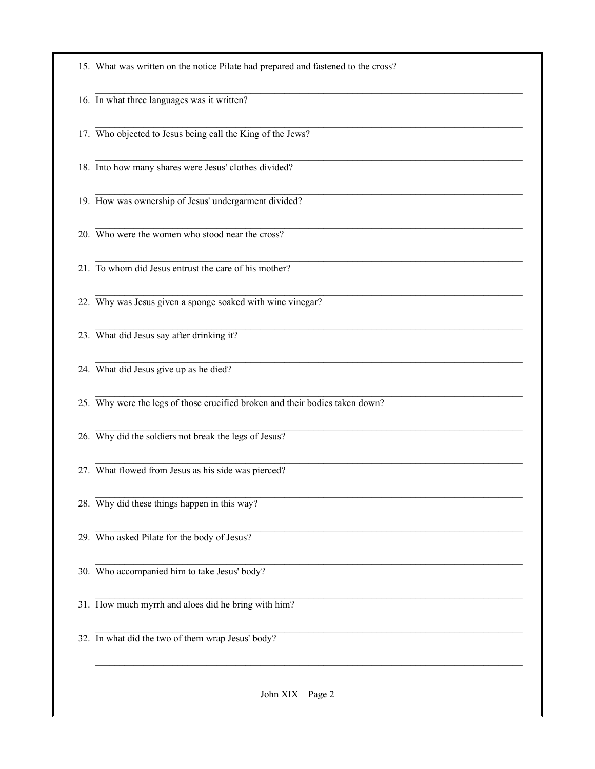| 15. What was written on the notice Pilate had prepared and fastened to the cross? |
|-----------------------------------------------------------------------------------|
| 16. In what three languages was it written?                                       |
| 17. Who objected to Jesus being call the King of the Jews?                        |
| 18. Into how many shares were Jesus' clothes divided?                             |
| 19. How was ownership of Jesus' undergarment divided?                             |
| 20. Who were the women who stood near the cross?                                  |
| 21. To whom did Jesus entrust the care of his mother?                             |
| 22. Why was Jesus given a sponge soaked with wine vinegar?                        |
| 23. What did Jesus say after drinking it?                                         |
| 24. What did Jesus give up as he died?                                            |
| 25. Why were the legs of those crucified broken and their bodies taken down?      |
| 26. Why did the soldiers not break the legs of Jesus?                             |
| 27. What flowed from Jesus as his side was pierced?                               |
| 28. Why did these things happen in this way?                                      |
| 29. Who asked Pilate for the body of Jesus?                                       |
| 30. Who accompanied him to take Jesus' body?                                      |
| 31. How much myrrh and aloes did he bring with him?                               |
| 32. In what did the two of them wrap Jesus' body?                                 |
|                                                                                   |
| John XIX - Page 2                                                                 |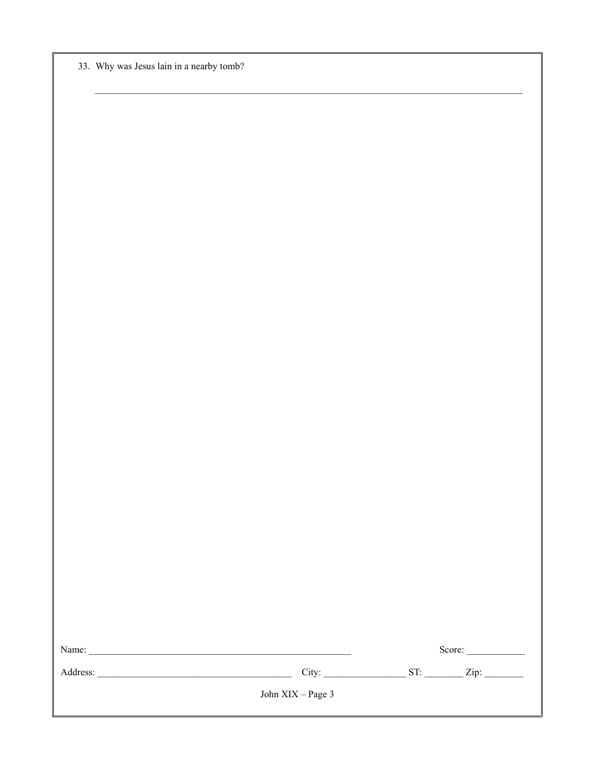|  | 33. Why was Jesus lain in a nearby tomb? |  |  |  |  |  |
|--|------------------------------------------|--|--|--|--|--|
|--|------------------------------------------|--|--|--|--|--|

|                     |  | Score: |
|---------------------|--|--------|
|                     |  |        |
| John $XIX - Page 3$ |  |        |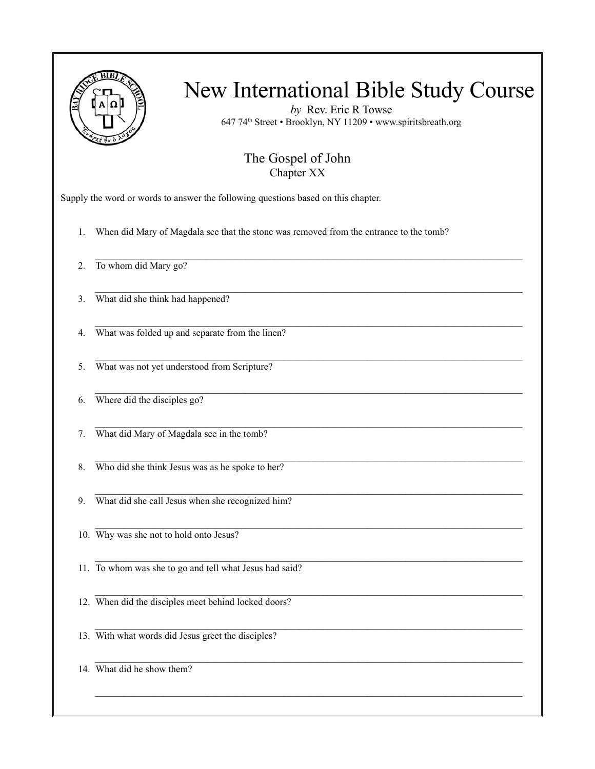

*by* Rev. Eric R Towse 647 74th Street • Brooklyn, NY 11209 • www.spiritsbreath.org

#### The Gospel of John Chapter XX

 $\mathcal{L}_\text{max}$ 

 $\mathcal{L}_\mathcal{L} = \{ \mathcal{L}_\mathcal{L} = \{ \mathcal{L}_\mathcal{L} = \{ \mathcal{L}_\mathcal{L} = \{ \mathcal{L}_\mathcal{L} = \{ \mathcal{L}_\mathcal{L} = \{ \mathcal{L}_\mathcal{L} = \{ \mathcal{L}_\mathcal{L} = \{ \mathcal{L}_\mathcal{L} = \{ \mathcal{L}_\mathcal{L} = \{ \mathcal{L}_\mathcal{L} = \{ \mathcal{L}_\mathcal{L} = \{ \mathcal{L}_\mathcal{L} = \{ \mathcal{L}_\mathcal{L} = \{ \mathcal{L}_\mathcal{$ 

 $\mathcal{L}_\mathcal{L} = \{ \mathcal{L}_\mathcal{L} = \{ \mathcal{L}_\mathcal{L} = \{ \mathcal{L}_\mathcal{L} = \{ \mathcal{L}_\mathcal{L} = \{ \mathcal{L}_\mathcal{L} = \{ \mathcal{L}_\mathcal{L} = \{ \mathcal{L}_\mathcal{L} = \{ \mathcal{L}_\mathcal{L} = \{ \mathcal{L}_\mathcal{L} = \{ \mathcal{L}_\mathcal{L} = \{ \mathcal{L}_\mathcal{L} = \{ \mathcal{L}_\mathcal{L} = \{ \mathcal{L}_\mathcal{L} = \{ \mathcal{L}_\mathcal{$ 

 $\mathcal{L}_\text{max}$ 

 $\mathcal{L}_\mathcal{L} = \{ \mathcal{L}_\mathcal{L} = \{ \mathcal{L}_\mathcal{L} = \{ \mathcal{L}_\mathcal{L} = \{ \mathcal{L}_\mathcal{L} = \{ \mathcal{L}_\mathcal{L} = \{ \mathcal{L}_\mathcal{L} = \{ \mathcal{L}_\mathcal{L} = \{ \mathcal{L}_\mathcal{L} = \{ \mathcal{L}_\mathcal{L} = \{ \mathcal{L}_\mathcal{L} = \{ \mathcal{L}_\mathcal{L} = \{ \mathcal{L}_\mathcal{L} = \{ \mathcal{L}_\mathcal{L} = \{ \mathcal{L}_\mathcal{$ 

 $\mathcal{L}_\mathcal{L} = \{ \mathcal{L}_\mathcal{L} = \{ \mathcal{L}_\mathcal{L} = \{ \mathcal{L}_\mathcal{L} = \{ \mathcal{L}_\mathcal{L} = \{ \mathcal{L}_\mathcal{L} = \{ \mathcal{L}_\mathcal{L} = \{ \mathcal{L}_\mathcal{L} = \{ \mathcal{L}_\mathcal{L} = \{ \mathcal{L}_\mathcal{L} = \{ \mathcal{L}_\mathcal{L} = \{ \mathcal{L}_\mathcal{L} = \{ \mathcal{L}_\mathcal{L} = \{ \mathcal{L}_\mathcal{L} = \{ \mathcal{L}_\mathcal{$ 

 $\mathcal{L}_\text{max}$ 

Supply the word or words to answer the following questions based on this chapter.

1. When did Mary of Magdala see that the stone was removed from the entrance to the tomb?

2. To whom did Mary go?

3. What did she think had happened?

 $\mathcal{L}_\mathcal{L} = \{ \mathcal{L}_\mathcal{L} = \{ \mathcal{L}_\mathcal{L} = \{ \mathcal{L}_\mathcal{L} = \{ \mathcal{L}_\mathcal{L} = \{ \mathcal{L}_\mathcal{L} = \{ \mathcal{L}_\mathcal{L} = \{ \mathcal{L}_\mathcal{L} = \{ \mathcal{L}_\mathcal{L} = \{ \mathcal{L}_\mathcal{L} = \{ \mathcal{L}_\mathcal{L} = \{ \mathcal{L}_\mathcal{L} = \{ \mathcal{L}_\mathcal{L} = \{ \mathcal{L}_\mathcal{L} = \{ \mathcal{L}_\mathcal{$ 4. What was folded up and separate from the linen?

5. What was not yet understood from Scripture?

6. Where did the disciples go?

7. What did Mary of Magdala see in the tomb?

8. Who did she think Jesus was as he spoke to her?

9. What did she call Jesus when she recognized him?

10. Why was she not to hold onto Jesus?

11. To whom was she to go and tell what Jesus had said?

12. When did the disciples meet behind locked doors?

13. With what words did Jesus greet the disciples?

14. What did he show them?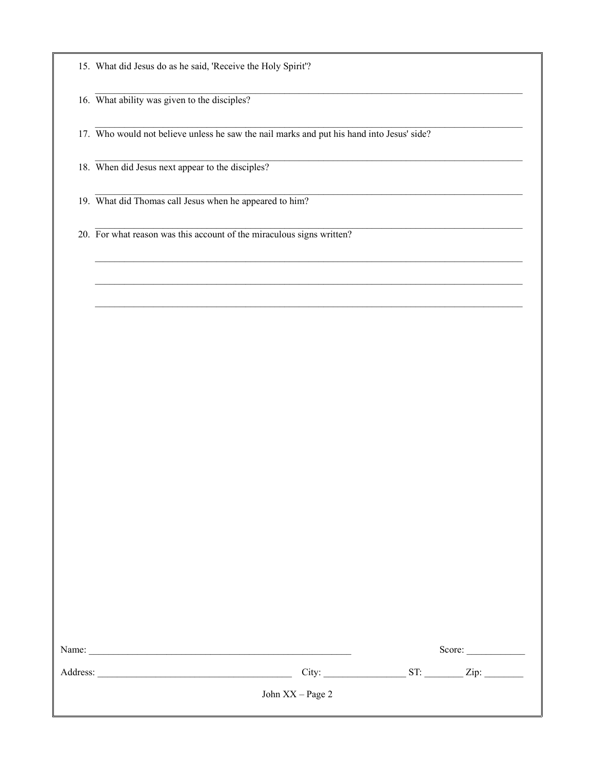|  | 15. What did Jesus do as he said, 'Receive the Holy Spirit'? |  |  |  |  |  |
|--|--------------------------------------------------------------|--|--|--|--|--|
|--|--------------------------------------------------------------|--|--|--|--|--|

16. What ability was given to the disciples?

17. Who would not believe unless he saw the nail marks and put his hand into Jesus' side?

18. When did Jesus next appear to the disciples?

19. What did Thomas call Jesus when he appeared to him?

20. For what reason was this account of the miraculous signs written?

| Name:    | Score:           |     |      |  |
|----------|------------------|-----|------|--|
| Address: | City:            | ST: | Zip: |  |
|          | John XX – Page 2 |     |      |  |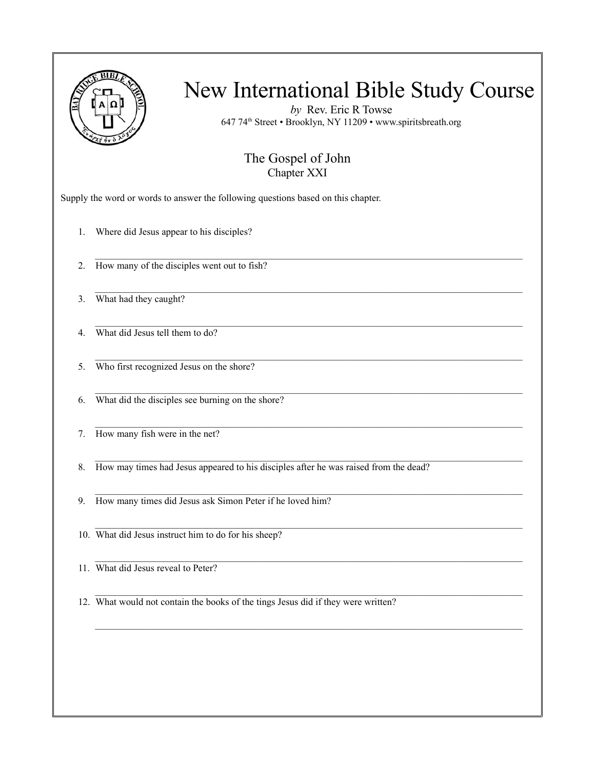

*by* Rev. Eric R Towse 647 74th Street • Brooklyn, NY 11209 • www.spiritsbreath.org

#### The Gospel of John Chapter XXI

 $\mathcal{L}_\text{max}$ 

 $\mathcal{L}_\mathcal{L} = \{ \mathcal{L}_\mathcal{L} = \{ \mathcal{L}_\mathcal{L} = \{ \mathcal{L}_\mathcal{L} = \{ \mathcal{L}_\mathcal{L} = \{ \mathcal{L}_\mathcal{L} = \{ \mathcal{L}_\mathcal{L} = \{ \mathcal{L}_\mathcal{L} = \{ \mathcal{L}_\mathcal{L} = \{ \mathcal{L}_\mathcal{L} = \{ \mathcal{L}_\mathcal{L} = \{ \mathcal{L}_\mathcal{L} = \{ \mathcal{L}_\mathcal{L} = \{ \mathcal{L}_\mathcal{L} = \{ \mathcal{L}_\mathcal{$ 

 $\mathcal{L}_\text{max}$ 

 $\mathcal{L}_\mathcal{L} = \{ \mathcal{L}_\mathcal{L} = \{ \mathcal{L}_\mathcal{L} = \{ \mathcal{L}_\mathcal{L} = \{ \mathcal{L}_\mathcal{L} = \{ \mathcal{L}_\mathcal{L} = \{ \mathcal{L}_\mathcal{L} = \{ \mathcal{L}_\mathcal{L} = \{ \mathcal{L}_\mathcal{L} = \{ \mathcal{L}_\mathcal{L} = \{ \mathcal{L}_\mathcal{L} = \{ \mathcal{L}_\mathcal{L} = \{ \mathcal{L}_\mathcal{L} = \{ \mathcal{L}_\mathcal{L} = \{ \mathcal{L}_\mathcal{$ 

Supply the word or words to answer the following questions based on this chapter.

- 1. Where did Jesus appear to his disciples?
- 2. How many of the disciples went out to fish?
- 3. What had they caught?
- $\mathcal{L}_\mathcal{L} = \{ \mathcal{L}_\mathcal{L} = \{ \mathcal{L}_\mathcal{L} = \{ \mathcal{L}_\mathcal{L} = \{ \mathcal{L}_\mathcal{L} = \{ \mathcal{L}_\mathcal{L} = \{ \mathcal{L}_\mathcal{L} = \{ \mathcal{L}_\mathcal{L} = \{ \mathcal{L}_\mathcal{L} = \{ \mathcal{L}_\mathcal{L} = \{ \mathcal{L}_\mathcal{L} = \{ \mathcal{L}_\mathcal{L} = \{ \mathcal{L}_\mathcal{L} = \{ \mathcal{L}_\mathcal{L} = \{ \mathcal{L}_\mathcal{$ 4. What did Jesus tell them to do?
- 5. Who first recognized Jesus on the shore?
- 6. What did the disciples see burning on the shore?
- 7. How many fish were in the net?
- $\mathcal{L}_\mathcal{L} = \{ \mathcal{L}_\mathcal{L} = \{ \mathcal{L}_\mathcal{L} = \{ \mathcal{L}_\mathcal{L} = \{ \mathcal{L}_\mathcal{L} = \{ \mathcal{L}_\mathcal{L} = \{ \mathcal{L}_\mathcal{L} = \{ \mathcal{L}_\mathcal{L} = \{ \mathcal{L}_\mathcal{L} = \{ \mathcal{L}_\mathcal{L} = \{ \mathcal{L}_\mathcal{L} = \{ \mathcal{L}_\mathcal{L} = \{ \mathcal{L}_\mathcal{L} = \{ \mathcal{L}_\mathcal{L} = \{ \mathcal{L}_\mathcal{$ 8. How may times had Jesus appeared to his disciples after he was raised from the dead?
- 9. How many times did Jesus ask Simon Peter if he loved him?
- 10. What did Jesus instruct him to do for his sheep?
- 11. What did Jesus reveal to Peter?
- 12. What would not contain the books of the tings Jesus did if they were written?